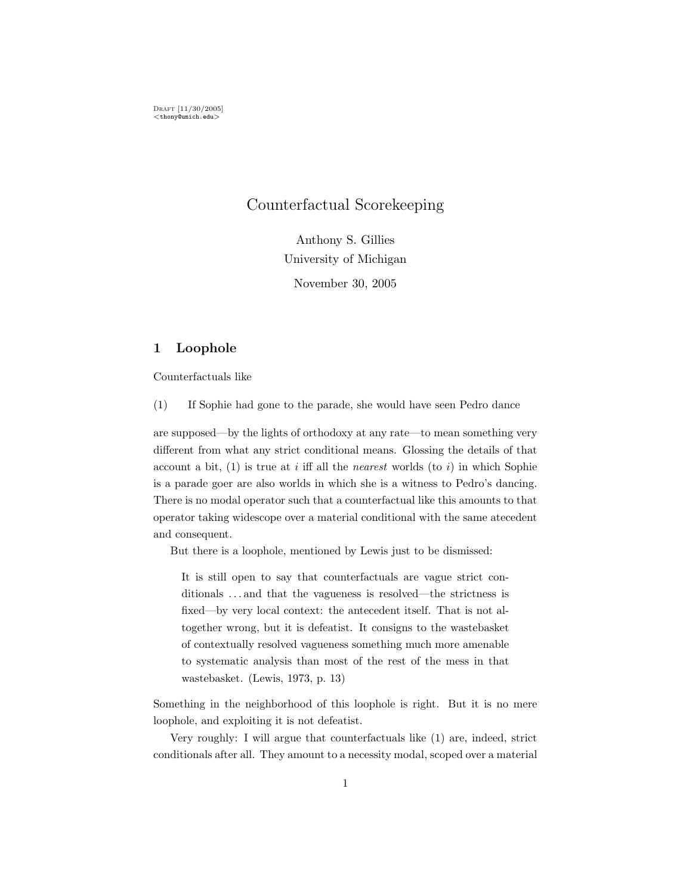# Counterfactual Scorekeeping

Anthony S. Gillies University of Michigan November 30, 2005

## 1 Loophole

Counterfactuals like

(1) If Sophie had gone to the parade, she would have seen Pedro dance

are supposed—by the lights of orthodoxy at any rate—to mean something very different from what any strict conditional means. Glossing the details of that account a bit,  $(1)$  is true at i iff all the *nearest* worlds (to i) in which Sophie is a parade goer are also worlds in which she is a witness to Pedro's dancing. There is no modal operator such that a counterfactual like this amounts to that operator taking widescope over a material conditional with the same atecedent and consequent.

But there is a loophole, mentioned by Lewis just to be dismissed:

It is still open to say that counterfactuals are vague strict conditionals . . . and that the vagueness is resolved—the strictness is fixed—by very local context: the antecedent itself. That is not altogether wrong, but it is defeatist. It consigns to the wastebasket of contextually resolved vagueness something much more amenable to systematic analysis than most of the rest of the mess in that wastebasket. (Lewis, 1973, p. 13)

Something in the neighborhood of this loophole is right. But it is no mere loophole, and exploiting it is not defeatist.

Very roughly: I will argue that counterfactuals like (1) are, indeed, strict conditionals after all. They amount to a necessity modal, scoped over a material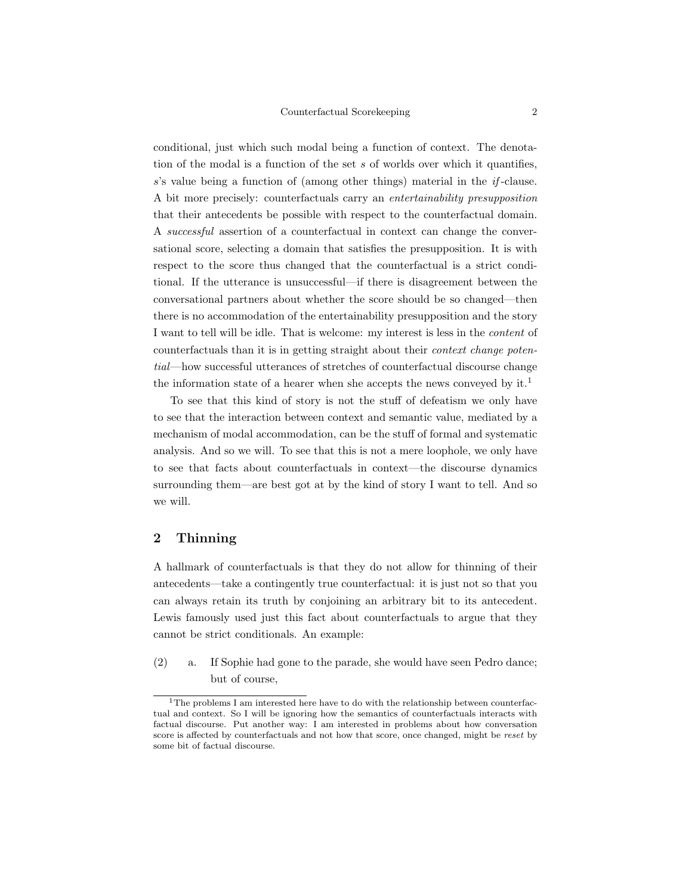conditional, just which such modal being a function of context. The denotation of the modal is a function of the set  $s$  of worlds over which it quantifies, s's value being a function of (among other things) material in the if -clause. A bit more precisely: counterfactuals carry an entertainability presupposition that their antecedents be possible with respect to the counterfactual domain. A successful assertion of a counterfactual in context can change the conversational score, selecting a domain that satisfies the presupposition. It is with respect to the score thus changed that the counterfactual is a strict conditional. If the utterance is unsuccessful—if there is disagreement between the conversational partners about whether the score should be so changed—then there is no accommodation of the entertainability presupposition and the story I want to tell will be idle. That is welcome: my interest is less in the content of counterfactuals than it is in getting straight about their context change potential—how successful utterances of stretches of counterfactual discourse change the information state of a hearer when she accepts the news conveyed by it.<sup>1</sup>

To see that this kind of story is not the stuff of defeatism we only have to see that the interaction between context and semantic value, mediated by a mechanism of modal accommodation, can be the stuff of formal and systematic analysis. And so we will. To see that this is not a mere loophole, we only have to see that facts about counterfactuals in context—the discourse dynamics surrounding them—are best got at by the kind of story I want to tell. And so we will.

## 2 Thinning

A hallmark of counterfactuals is that they do not allow for thinning of their antecedents—take a contingently true counterfactual: it is just not so that you can always retain its truth by conjoining an arbitrary bit to its antecedent. Lewis famously used just this fact about counterfactuals to argue that they cannot be strict conditionals. An example:

(2) a. If Sophie had gone to the parade, she would have seen Pedro dance; but of course,

<sup>&</sup>lt;sup>1</sup>The problems I am interested here have to do with the relationship between counterfactual and context. So I will be ignoring how the semantics of counterfactuals interacts with factual discourse. Put another way: I am interested in problems about how conversation score is affected by counterfactuals and not how that score, once changed, might be reset by some bit of factual discourse.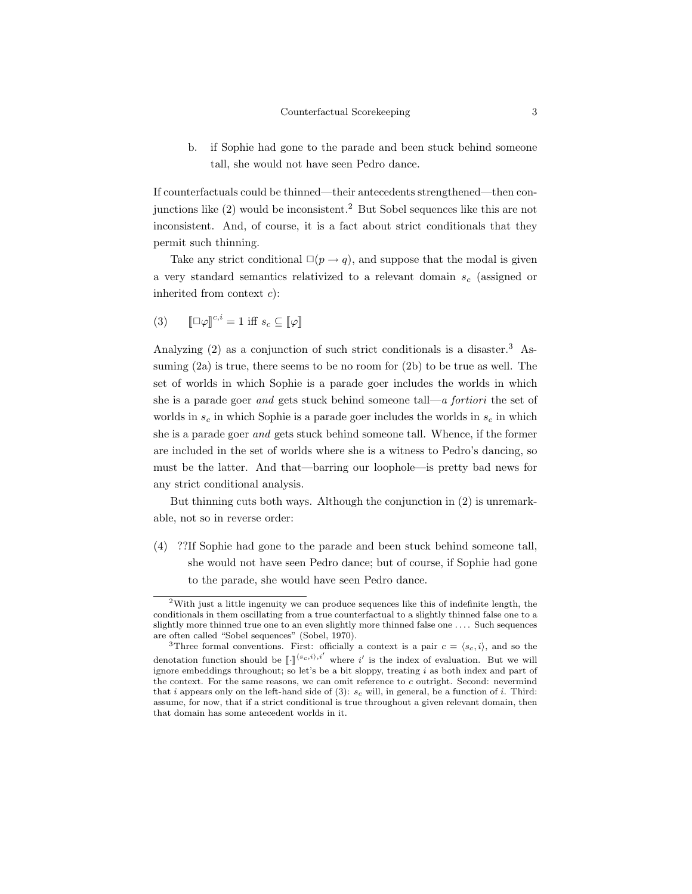b. if Sophie had gone to the parade and been stuck behind someone tall, she would not have seen Pedro dance.

If counterfactuals could be thinned—their antecedents strengthened—then conjunctions like (2) would be inconsistent.<sup>2</sup> But Sobel sequences like this are not inconsistent. And, of course, it is a fact about strict conditionals that they permit such thinning.

Take any strict conditional  $\square(p \rightarrow q)$ , and suppose that the modal is given a very standard semantics relativized to a relevant domain  $s_c$  (assigned or inherited from context  $c$ :

(3) 
$$
\llbracket \Box \varphi \rrbracket^{c,i} = 1 \text{ iff } s_c \subseteq \llbracket \varphi \rrbracket
$$

Analyzing (2) as a conjunction of such strict conditionals is a disaster.<sup>3</sup> Assuming (2a) is true, there seems to be no room for (2b) to be true as well. The set of worlds in which Sophie is a parade goer includes the worlds in which she is a parade goer and gets stuck behind someone tall—a *fortiori* the set of worlds in  $s_c$  in which Sophie is a parade goer includes the worlds in  $s_c$  in which she is a parade goer and gets stuck behind someone tall. Whence, if the former are included in the set of worlds where she is a witness to Pedro's dancing, so must be the latter. And that—barring our loophole—is pretty bad news for any strict conditional analysis.

But thinning cuts both ways. Although the conjunction in (2) is unremarkable, not so in reverse order:

(4) ??If Sophie had gone to the parade and been stuck behind someone tall, she would not have seen Pedro dance; but of course, if Sophie had gone to the parade, she would have seen Pedro dance.

<sup>2</sup>With just a little ingenuity we can produce sequences like this of indefinite length, the conditionals in them oscillating from a true counterfactual to a slightly thinned false one to a slightly more thinned true one to an even slightly more thinned false one . . . . Such sequences are often called "Sobel sequences" (Sobel, 1970).

<sup>&</sup>lt;sup>3</sup>Three formal conventions. First: officially a context is a pair  $c = \langle s_c, i \rangle$ , and so the denotation function should be  $\llbracket \cdot \rrbracket^{(s_c,i),i'}$  where i' is the index of evaluation. But we will<br>ignore embeddings throughout: so lot's be a bit sloppy treating i as both index and part of ignore embeddings throughout; so let's be a bit sloppy, treating  $i$  as both index and part of the context. For the same reasons, we can omit reference to c outright. Second: nevermind that i appears only on the left-hand side of (3):  $s_c$  will, in general, be a function of i. Third: assume, for now, that if a strict conditional is true throughout a given relevant domain, then that domain has some antecedent worlds in it.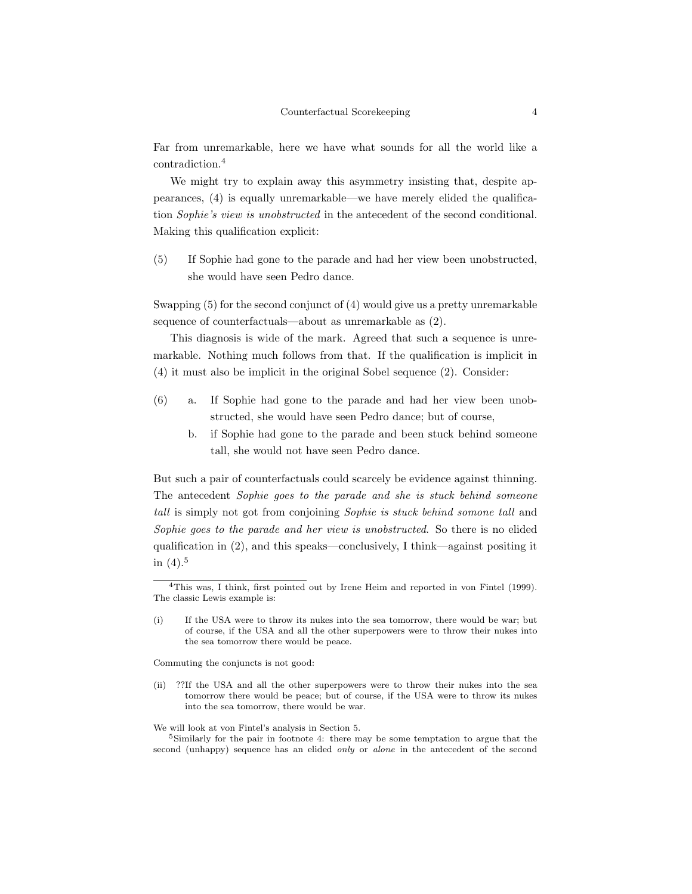Far from unremarkable, here we have what sounds for all the world like a contradiction.<sup>4</sup>

We might try to explain away this asymmetry insisting that, despite appearances, (4) is equally unremarkable—we have merely elided the qualification Sophie's view is unobstructed in the antecedent of the second conditional. Making this qualification explicit:

(5) If Sophie had gone to the parade and had her view been unobstructed, she would have seen Pedro dance.

Swapping (5) for the second conjunct of (4) would give us a pretty unremarkable sequence of counterfactuals—about as unremarkable as (2).

This diagnosis is wide of the mark. Agreed that such a sequence is unremarkable. Nothing much follows from that. If the qualification is implicit in (4) it must also be implicit in the original Sobel sequence (2). Consider:

- (6) a. If Sophie had gone to the parade and had her view been unobstructed, she would have seen Pedro dance; but of course,
	- b. if Sophie had gone to the parade and been stuck behind someone tall, she would not have seen Pedro dance.

But such a pair of counterfactuals could scarcely be evidence against thinning. The antecedent Sophie goes to the parade and she is stuck behind someone tall is simply not got from conjoining Sophie is stuck behind somone tall and Sophie goes to the parade and her view is unobstructed. So there is no elided qualification in (2), and this speaks—conclusively, I think—against positing it in  $(4).5$ 

Commuting the conjuncts is not good:

(ii) ??If the USA and all the other superpowers were to throw their nukes into the sea tomorrow there would be peace; but of course, if the USA were to throw its nukes into the sea tomorrow, there would be war.

We will look at von Fintel's analysis in Section 5.

<sup>4</sup>This was, I think, first pointed out by Irene Heim and reported in von Fintel (1999). The classic Lewis example is:

<sup>(</sup>i) If the USA were to throw its nukes into the sea tomorrow, there would be war; but of course, if the USA and all the other superpowers were to throw their nukes into the sea tomorrow there would be peace.

<sup>5</sup>Similarly for the pair in footnote 4: there may be some temptation to argue that the second (unhappy) sequence has an elided *only* or *alone* in the antecedent of the second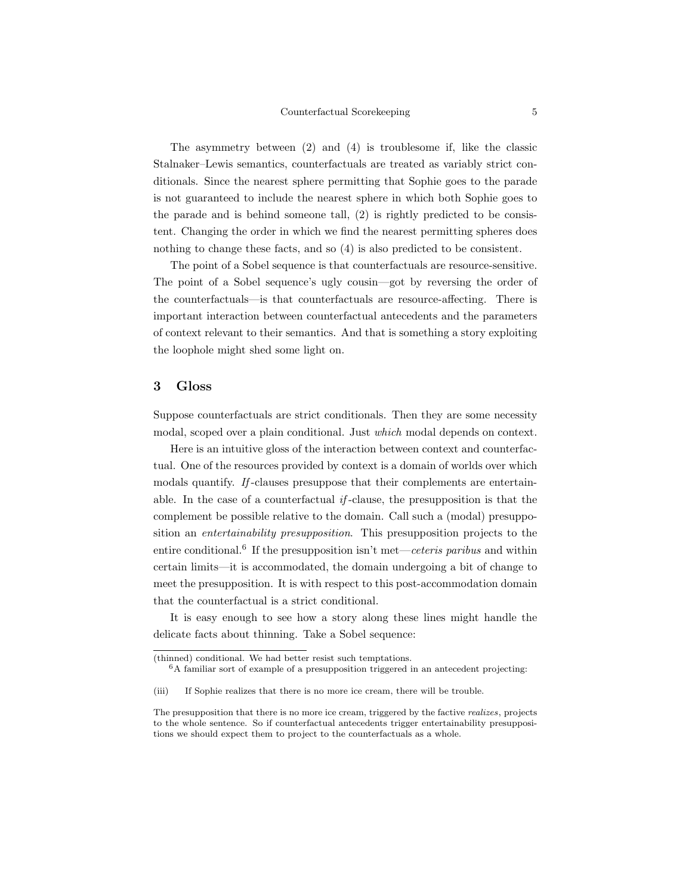The asymmetry between (2) and (4) is troublesome if, like the classic Stalnaker–Lewis semantics, counterfactuals are treated as variably strict conditionals. Since the nearest sphere permitting that Sophie goes to the parade is not guaranteed to include the nearest sphere in which both Sophie goes to the parade and is behind someone tall, (2) is rightly predicted to be consistent. Changing the order in which we find the nearest permitting spheres does nothing to change these facts, and so (4) is also predicted to be consistent.

The point of a Sobel sequence is that counterfactuals are resource-sensitive. The point of a Sobel sequence's ugly cousin—got by reversing the order of the counterfactuals—is that counterfactuals are resource-affecting. There is important interaction between counterfactual antecedents and the parameters of context relevant to their semantics. And that is something a story exploiting the loophole might shed some light on.

### 3 Gloss

Suppose counterfactuals are strict conditionals. Then they are some necessity modal, scoped over a plain conditional. Just which modal depends on context.

Here is an intuitive gloss of the interaction between context and counterfactual. One of the resources provided by context is a domain of worlds over which modals quantify. If -clauses presuppose that their complements are entertainable. In the case of a counterfactual  $if$ -clause, the presupposition is that the complement be possible relative to the domain. Call such a (modal) presupposition an entertainability presupposition. This presupposition projects to the entire conditional.<sup>6</sup> If the presupposition isn't met—ceteris paribus and within certain limits—it is accommodated, the domain undergoing a bit of change to meet the presupposition. It is with respect to this post-accommodation domain that the counterfactual is a strict conditional.

It is easy enough to see how a story along these lines might handle the delicate facts about thinning. Take a Sobel sequence:

<sup>(</sup>thinned) conditional. We had better resist such temptations.

<sup>6</sup>A familiar sort of example of a presupposition triggered in an antecedent projecting:

<sup>(</sup>iii) If Sophie realizes that there is no more ice cream, there will be trouble.

The presupposition that there is no more ice cream, triggered by the factive *realizes*, projects to the whole sentence. So if counterfactual antecedents trigger entertainability presuppositions we should expect them to project to the counterfactuals as a whole.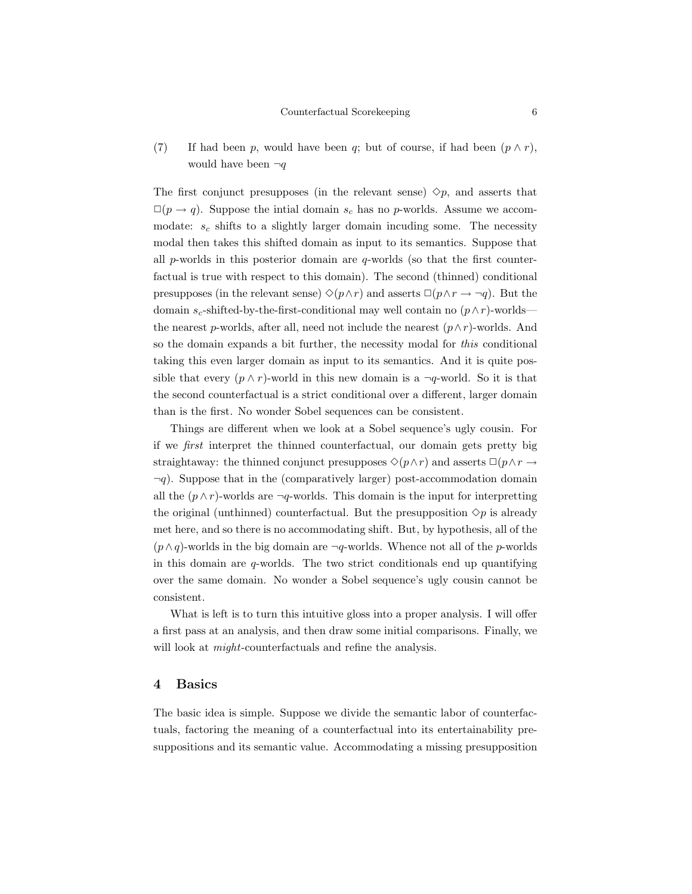(7) If had been p, would have been q; but of course, if had been  $(p \wedge r)$ , would have been  $\neg q$ 

The first conjunct presupposes (in the relevant sense)  $\Diamond p$ , and asserts that  $\square(p \rightarrow q)$ . Suppose the intial domain  $s_c$  has no p-worlds. Assume we accommodate:  $s_c$  shifts to a slightly larger domain incuding some. The necessity modal then takes this shifted domain as input to its semantics. Suppose that all  $p$ -worlds in this posterior domain are  $q$ -worlds (so that the first counterfactual is true with respect to this domain). The second (thinned) conditional presupposes (in the relevant sense)  $\Diamond(p\land r)$  and asserts  $\Box(p\land r \rightarrow \neg q)$ . But the domain  $s_c$ -shifted-by-the-first-conditional may well contain no  $(p \wedge r)$ -worlds the nearest p-worlds, after all, need not include the nearest  $(p \wedge r)$ -worlds. And so the domain expands a bit further, the necessity modal for this conditional taking this even larger domain as input to its semantics. And it is quite possible that every  $(p \wedge r)$ -world in this new domain is a  $\neg q$ -world. So it is that the second counterfactual is a strict conditional over a different, larger domain than is the first. No wonder Sobel sequences can be consistent.

Things are different when we look at a Sobel sequence's ugly cousin. For if we first interpret the thinned counterfactual, our domain gets pretty big straightaway: the thinned conjunct presupposes  $\Diamond(p \land r)$  and asserts  $\Box(p \land r \rightarrow$  $\neg q$ ). Suppose that in the (comparatively larger) post-accommodation domain all the  $(p \wedge r)$ -worlds are  $\neg q$ -worlds. This domain is the input for interpretting the original (unthinned) counterfactual. But the presupposition  $\Diamond p$  is already met here, and so there is no accommodating shift. But, by hypothesis, all of the  $(p \wedge q)$ -worlds in the big domain are  $\neg q$ -worlds. Whence not all of the p-worlds in this domain are q-worlds. The two strict conditionals end up quantifying over the same domain. No wonder a Sobel sequence's ugly cousin cannot be consistent.

What is left is to turn this intuitive gloss into a proper analysis. I will offer a first pass at an analysis, and then draw some initial comparisons. Finally, we will look at  $might$ -counterfactuals and refine the analysis.

### 4 Basics

The basic idea is simple. Suppose we divide the semantic labor of counterfactuals, factoring the meaning of a counterfactual into its entertainability presuppositions and its semantic value. Accommodating a missing presupposition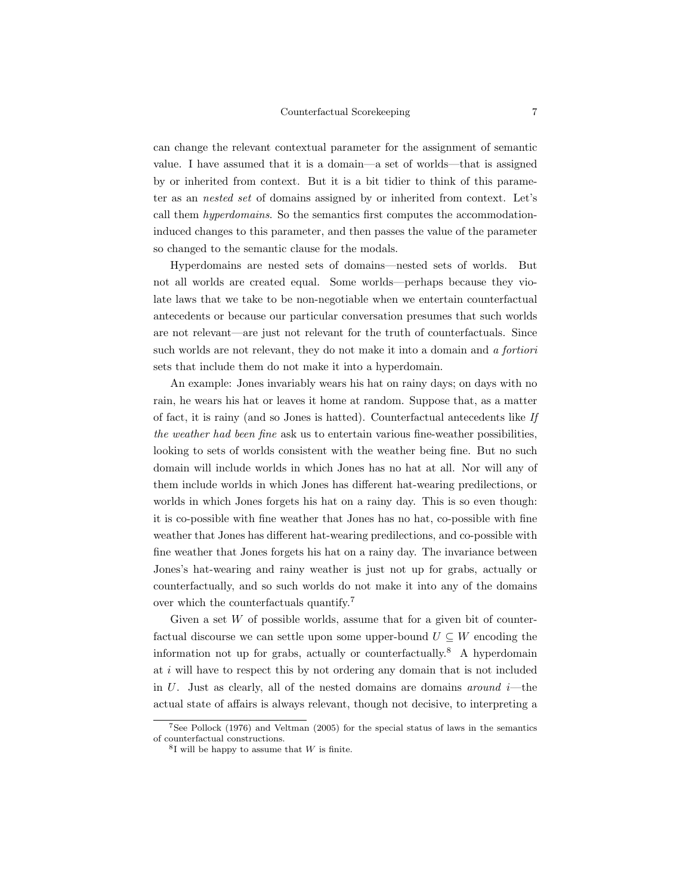can change the relevant contextual parameter for the assignment of semantic value. I have assumed that it is a domain—a set of worlds—that is assigned by or inherited from context. But it is a bit tidier to think of this parameter as an nested set of domains assigned by or inherited from context. Let's call them hyperdomains. So the semantics first computes the accommodationinduced changes to this parameter, and then passes the value of the parameter so changed to the semantic clause for the modals.

Hyperdomains are nested sets of domains—nested sets of worlds. But not all worlds are created equal. Some worlds—perhaps because they violate laws that we take to be non-negotiable when we entertain counterfactual antecedents or because our particular conversation presumes that such worlds are not relevant—are just not relevant for the truth of counterfactuals. Since such worlds are not relevant, they do not make it into a domain and a fortiori sets that include them do not make it into a hyperdomain.

An example: Jones invariably wears his hat on rainy days; on days with no rain, he wears his hat or leaves it home at random. Suppose that, as a matter of fact, it is rainy (and so Jones is hatted). Counterfactual antecedents like If the weather had been fine ask us to entertain various fine-weather possibilities, looking to sets of worlds consistent with the weather being fine. But no such domain will include worlds in which Jones has no hat at all. Nor will any of them include worlds in which Jones has different hat-wearing predilections, or worlds in which Jones forgets his hat on a rainy day. This is so even though: it is co-possible with fine weather that Jones has no hat, co-possible with fine weather that Jones has different hat-wearing predilections, and co-possible with fine weather that Jones forgets his hat on a rainy day. The invariance between Jones's hat-wearing and rainy weather is just not up for grabs, actually or counterfactually, and so such worlds do not make it into any of the domains over which the counterfactuals quantify.<sup>7</sup>

Given a set  $W$  of possible worlds, assume that for a given bit of counterfactual discourse we can settle upon some upper-bound  $U \subseteq W$  encoding the information not up for grabs, actually or counterfactually.<sup>8</sup> A hyperdomain at  $i$  will have to respect this by not ordering any domain that is not included in  $U$ . Just as clearly, all of the nested domains are domains around i—the actual state of affairs is always relevant, though not decisive, to interpreting a

<sup>7</sup>See Pollock (1976) and Veltman (2005) for the special status of laws in the semantics of counterfactual constructions.

 ${}^{8}$ I will be happy to assume that W is finite.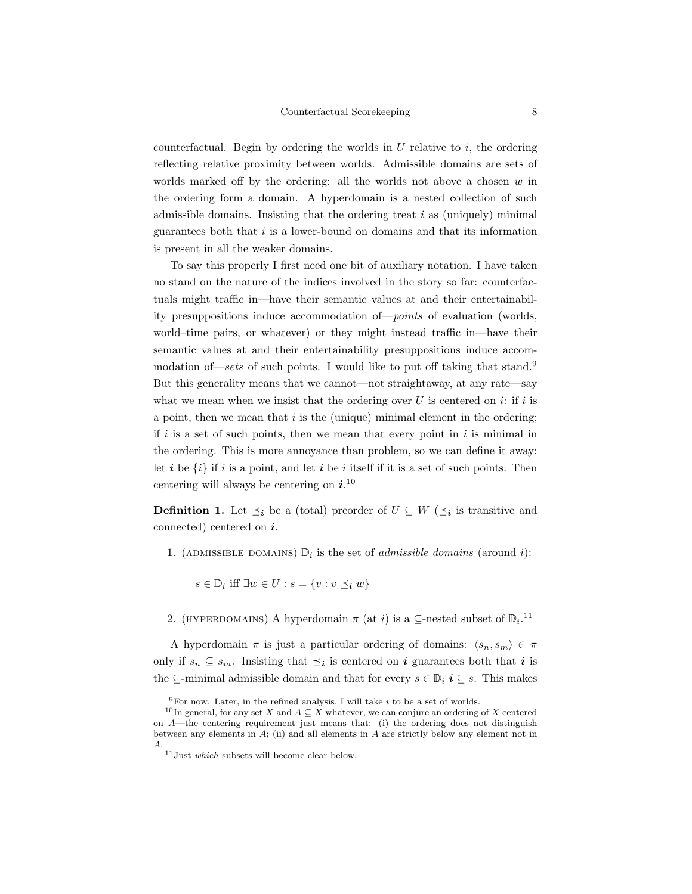counterfactual. Begin by ordering the worlds in  $U$  relative to  $i$ , the ordering reflecting relative proximity between worlds. Admissible domains are sets of worlds marked off by the ordering: all the worlds not above a chosen  $w$  in the ordering form a domain. A hyperdomain is a nested collection of such admissible domains. Insisting that the ordering treat  $i$  as (uniquely) minimal guarantees both that  $i$  is a lower-bound on domains and that its information is present in all the weaker domains.

To say this properly I first need one bit of auxiliary notation. I have taken no stand on the nature of the indices involved in the story so far: counterfactuals might traffic in—have their semantic values at and their entertainability presuppositions induce accommodation of—points of evaluation (worlds, world–time pairs, or whatever) or they might instead traffic in—have their semantic values at and their entertainability presuppositions induce accommodation of—sets of such points. I would like to put off taking that stand.<sup>9</sup> But this generality means that we cannot—not straightaway, at any rate—say what we mean when we insist that the ordering over U is centered on  $i$ : if i is a point, then we mean that  $i$  is the (unique) minimal element in the ordering; if  $i$  is a set of such points, then we mean that every point in  $i$  is minimal in the ordering. This is more annoyance than problem, so we can define it away: let i be  $\{i\}$  if i is a point, and let i be i itself if it is a set of such points. Then centering will always be centering on  $i^{10}$ 

**Definition 1.** Let  $\preceq_i$  be a (total) preorder of  $U \subseteq W$  ( $\preceq_i$  is transitive and connected) centered on  $i$ .

1. (ADMISSIBLE DOMAINS)  $\mathbb{D}_i$  is the set of *admissible domains* (around *i*):

 $s \in \mathbb{D}_i$  iff  $\exists w \in U : s = \{v : v \preceq_i w\}$ 

2. (HYPERDOMAINS) A hyperdomain  $\pi$  (at *i*) is a  $\subseteq$ -nested subset of  $\mathbb{D}_{i}$ .<sup>11</sup>

A hyperdomain  $\pi$  is just a particular ordering of domains:  $\langle s_n, s_m \rangle \in \pi$ only if  $s_n \subseteq s_m$ . Insisting that  $\preceq_i$  is centered on i guarantees both that i is the  $\subseteq$ -minimal admissible domain and that for every  $s \in \mathbb{D}_i$   $i \subseteq s$ . This makes

 $^9\rm{For}$  now. Later, in the refined analysis, I will take  $i$  to be a set of worlds.

<sup>&</sup>lt;sup>10</sup>In general, for any set X and  $A \subseteq X$  whatever, we can conjure an ordering of X centered on A—the centering requirement just means that: (i) the ordering does not distinguish between any elements in  $A$ ; (ii) and all elements in  $A$  are strictly below any element not in A.

 $^{11}\mathrm{Just}$  which subsets will become clear below.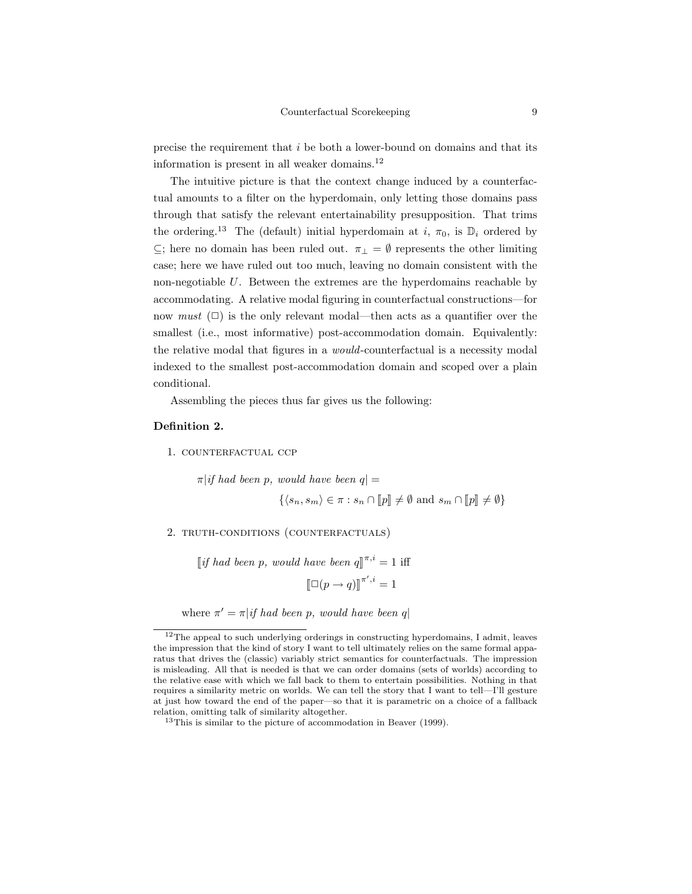precise the requirement that i be both a lower-bound on domains and that its information is present in all weaker domains.<sup>12</sup>

The intuitive picture is that the context change induced by a counterfactual amounts to a filter on the hyperdomain, only letting those domains pass through that satisfy the relevant entertainability presupposition. That trims the ordering.<sup>13</sup> The (default) initial hyperdomain at i,  $\pi_0$ , is  $\mathbb{D}_i$  ordered by  $\subseteq$ ; here no domain has been ruled out.  $\pi$ <sub>⊥</sub> =  $\emptyset$  represents the other limiting case; here we have ruled out too much, leaving no domain consistent with the non-negotiable U. Between the extremes are the hyperdomains reachable by accommodating. A relative modal figuring in counterfactual constructions—for now *must*  $(\Box)$  is the only relevant modal—then acts as a quantifier over the smallest (i.e., most informative) post-accommodation domain. Equivalently: the relative modal that figures in a would-counterfactual is a necessity modal indexed to the smallest post-accommodation domain and scoped over a plain conditional.

Assembling the pieces thus far gives us the following:

## Definition 2.

1. counterfactual ccp

 $\pi |$ if had been p, would have been  $q| =$ 

$$
\{\langle s_n, s_m\rangle \in \pi : s_n \cap [\![p]\!]\neq \emptyset \text{ and } s_m \cap [\![p]\!]\neq \emptyset\}
$$

2. truth-conditions (counterfactuals)

[if had been p, would have been  $q\rfloor^{\pi,i} = 1$  iff  $\llbracket \Box(p \to q) \rrbracket^{\pi', i} = 1$ 

where  $\pi' = \pi | if \text{ had been } p$ , would have been q

 $12$ The appeal to such underlying orderings in constructing hyperdomains, I admit, leaves the impression that the kind of story I want to tell ultimately relies on the same formal apparatus that drives the (classic) variably strict semantics for counterfactuals. The impression is misleading. All that is needed is that we can order domains (sets of worlds) according to the relative ease with which we fall back to them to entertain possibilities. Nothing in that requires a similarity metric on worlds. We can tell the story that I want to tell—I'll gesture at just how toward the end of the paper—so that it is parametric on a choice of a fallback relation, omitting talk of similarity altogether.

 $13$ This is similar to the picture of accommodation in Beaver (1999).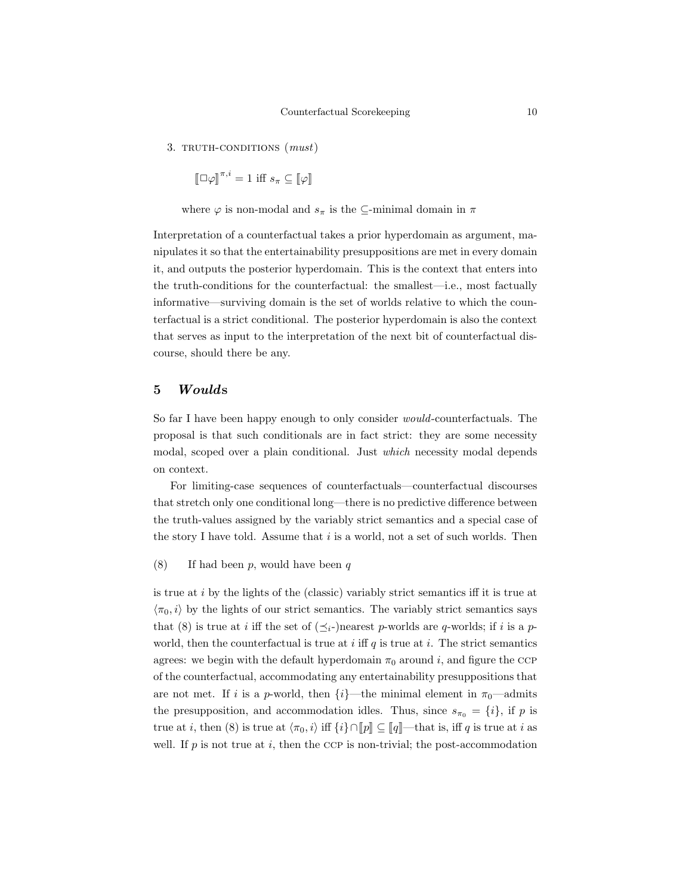3. TRUTH-CONDITIONS  $(must)$ 

 $[\![\Box \varphi]\!]^{\pi,i} = 1$  iff  $s_{\pi} \subseteq [\![\varphi]\!]$ 

where  $\varphi$  is non-modal and  $s_{\pi}$  is the  $\subseteq$ -minimal domain in  $\pi$ 

Interpretation of a counterfactual takes a prior hyperdomain as argument, manipulates it so that the entertainability presuppositions are met in every domain it, and outputs the posterior hyperdomain. This is the context that enters into the truth-conditions for the counterfactual: the smallest—i.e., most factually informative—surviving domain is the set of worlds relative to which the counterfactual is a strict conditional. The posterior hyperdomain is also the context that serves as input to the interpretation of the next bit of counterfactual discourse, should there be any.

### 5 Woulds

So far I have been happy enough to only consider would-counterfactuals. The proposal is that such conditionals are in fact strict: they are some necessity modal, scoped over a plain conditional. Just which necessity modal depends on context.

For limiting-case sequences of counterfactuals—counterfactual discourses that stretch only one conditional long—there is no predictive difference between the truth-values assigned by the variably strict semantics and a special case of the story I have told. Assume that  $i$  is a world, not a set of such worlds. Then

(8) If had been  $p$ , would have been  $q$ 

is true at  $i$  by the lights of the (classic) variably strict semantics iff it is true at  $\langle \pi_0, i \rangle$  by the lights of our strict semantics. The variably strict semantics says that (8) is true at *i* iff the set of  $(\preceq_i-)$ nearest p-worlds are q-worlds; if *i* is a pworld, then the counterfactual is true at i iff q is true at i. The strict semantics agrees: we begin with the default hyperdomain  $\pi_0$  around i, and figure the CCP of the counterfactual, accommodating any entertainability presuppositions that are not met. If i is a p-world, then  $\{i\}$ —the minimal element in  $\pi_0$ —admits the presupposition, and accommodation idles. Thus, since  $s_{\pi_0} = \{i\}$ , if p is true at *i*, then (8) is true at  $\langle \pi_0, i \rangle$  iff  $\{i\} \cap [p] \subseteq [q]$ —that is, iff q is true at *i* as well. If  $p$  is not true at  $i$ , then the CCP is non-trivial; the post-accommodation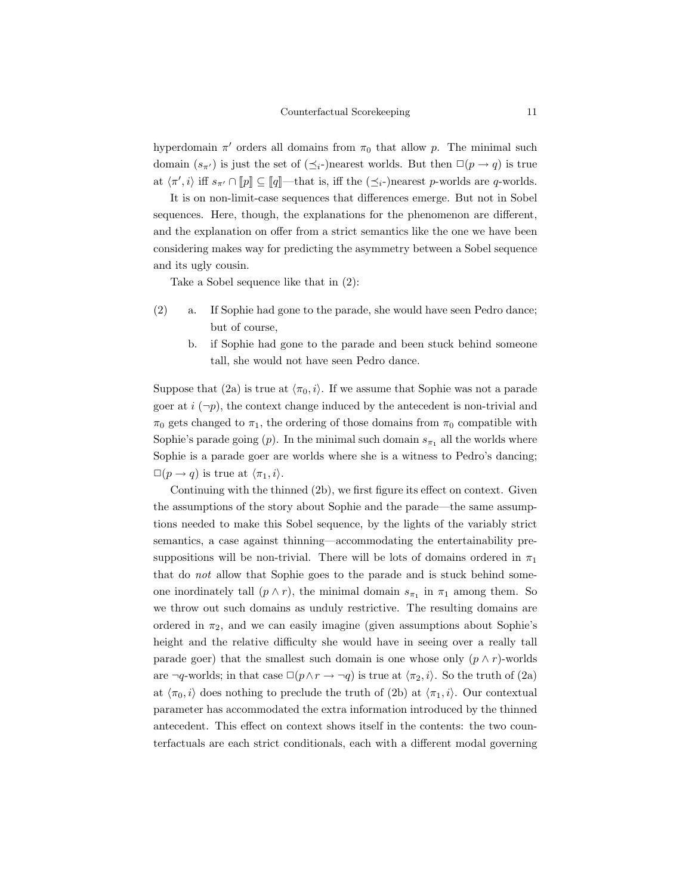hyperdomain  $\pi'$  orders all domains from  $\pi_0$  that allow p. The minimal such domain  $(s_{\pi'})$  is just the set of  $(\preceq_i-)$ nearest worlds. But then  $\square(p \to q)$  is true at  $\langle \pi', i \rangle$  iff  $s_{\pi'} \cap [\![p]\!] \subseteq [\![q]\!]$ —that is, iff the  $(\preceq_i-)$ nearest p-worlds are q-worlds.

It is on non-limit-case sequences that differences emerge. But not in Sobel sequences. Here, though, the explanations for the phenomenon are different, and the explanation on offer from a strict semantics like the one we have been considering makes way for predicting the asymmetry between a Sobel sequence and its ugly cousin.

Take a Sobel sequence like that in (2):

- (2) a. If Sophie had gone to the parade, she would have seen Pedro dance; but of course,
	- b. if Sophie had gone to the parade and been stuck behind someone tall, she would not have seen Pedro dance.

Suppose that (2a) is true at  $\langle \pi_0, i \rangle$ . If we assume that Sophie was not a parade goer at  $i \, (\neg p)$ , the context change induced by the antecedent is non-trivial and  $\pi_0$  gets changed to  $\pi_1$ , the ordering of those domains from  $\pi_0$  compatible with Sophie's parade going  $(p)$ . In the minimal such domain  $s_{\pi_1}$  all the worlds where Sophie is a parade goer are worlds where she is a witness to Pedro's dancing;  $\square(p \to q)$  is true at  $\langle \pi_1, i \rangle$ .

Continuing with the thinned (2b), we first figure its effect on context. Given the assumptions of the story about Sophie and the parade—the same assumptions needed to make this Sobel sequence, by the lights of the variably strict semantics, a case against thinning—accommodating the entertainability presuppositions will be non-trivial. There will be lots of domains ordered in  $\pi_1$ that do not allow that Sophie goes to the parade and is stuck behind someone inordinately tall  $(p \wedge r)$ , the minimal domain  $s_{\pi_1}$  in  $\pi_1$  among them. So we throw out such domains as unduly restrictive. The resulting domains are ordered in  $\pi_2$ , and we can easily imagine (given assumptions about Sophie's height and the relative difficulty she would have in seeing over a really tall parade goer) that the smallest such domain is one whose only  $(p \wedge r)$ -worlds are  $\neg q$ -worlds; in that case  $\Box(p \land r \rightarrow \neg q)$  is true at  $\langle \pi_2, i \rangle$ . So the truth of (2a) at  $\langle \pi_0, i \rangle$  does nothing to preclude the truth of (2b) at  $\langle \pi_1, i \rangle$ . Our contextual parameter has accommodated the extra information introduced by the thinned antecedent. This effect on context shows itself in the contents: the two counterfactuals are each strict conditionals, each with a different modal governing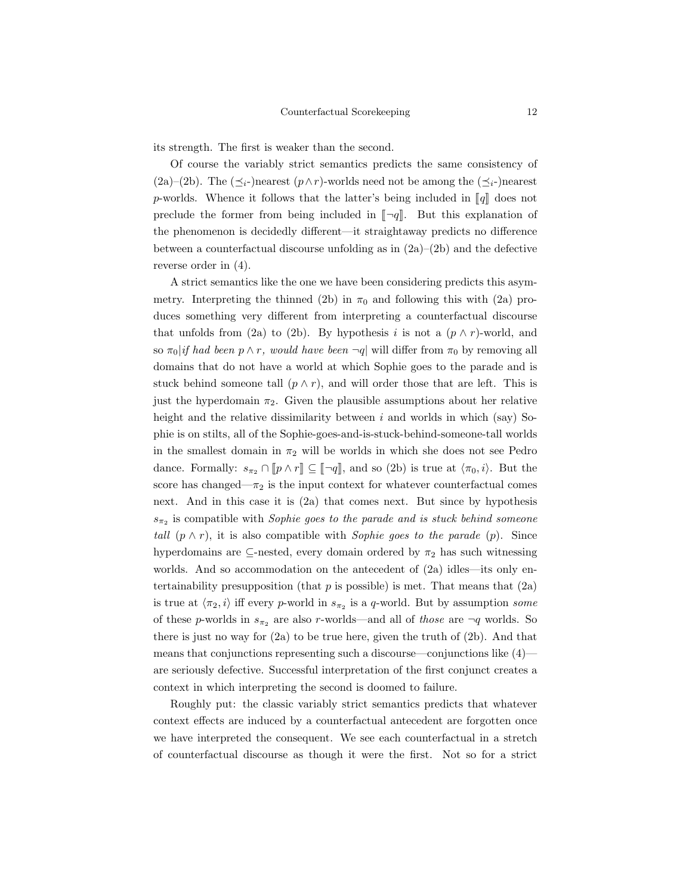its strength. The first is weaker than the second.

Of course the variably strict semantics predicts the same consistency of (2a)–(2b). The  $(\preceq_i$ -)nearest  $(p \wedge r)$ -worlds need not be among the  $(\preceq_i$ -)nearest p-worlds. Whence it follows that the latter's being included in  $\llbracket q \rrbracket$  does not preclude the former from being included in  $\lceil \neg q \rceil$ . But this explanation of the phenomenon is decidedly different—it straightaway predicts no difference between a counterfactual discourse unfolding as in  $(2a)–(2b)$  and the defective reverse order in (4).

A strict semantics like the one we have been considering predicts this asymmetry. Interpreting the thinned (2b) in  $\pi_0$  and following this with (2a) produces something very different from interpreting a counterfactual discourse that unfolds from (2a) to (2b). By hypothesis i is not a  $(p \wedge r)$ -world, and so  $\pi_0$ |if had been p  $\wedge$  r, would have been  $\neg q$ | will differ from  $\pi_0$  by removing all domains that do not have a world at which Sophie goes to the parade and is stuck behind someone tall  $(p \wedge r)$ , and will order those that are left. This is just the hyperdomain  $\pi_2$ . Given the plausible assumptions about her relative height and the relative dissimilarity between  $i$  and worlds in which (say) Sophie is on stilts, all of the Sophie-goes-and-is-stuck-behind-someone-tall worlds in the smallest domain in  $\pi_2$  will be worlds in which she does not see Pedro dance. Formally:  $s_{\pi_2} \cap [p \wedge r] \subseteq [\neg q]$ , and so (2b) is true at  $\langle \pi_0, i \rangle$ . But the score has changed— $\pi_2$  is the input context for whatever counterfactual comes next. And in this case it is (2a) that comes next. But since by hypothesis  $s_{\pi_2}$  is compatible with Sophie goes to the parade and is stuck behind someone tall  $(p \wedge r)$ , it is also compatible with Sophie goes to the parade  $(p)$ . Since hyperdomains are  $\subseteq$ -nested, every domain ordered by  $\pi_2$  has such witnessing worlds. And so accommodation on the antecedent of (2a) idles—its only entertainability presupposition (that  $p$  is possible) is met. That means that  $(2a)$ is true at  $\langle \pi_2, i \rangle$  iff every p-world in  $s_{\pi_2}$  is a q-world. But by assumption some of these p-worlds in  $s_{\pi_2}$  are also r-worlds—and all of those are  $\neg q$  worlds. So there is just no way for  $(2a)$  to be true here, given the truth of  $(2b)$ . And that means that conjunctions representing such a discourse—conjunctions like (4) are seriously defective. Successful interpretation of the first conjunct creates a context in which interpreting the second is doomed to failure.

Roughly put: the classic variably strict semantics predicts that whatever context effects are induced by a counterfactual antecedent are forgotten once we have interpreted the consequent. We see each counterfactual in a stretch of counterfactual discourse as though it were the first. Not so for a strict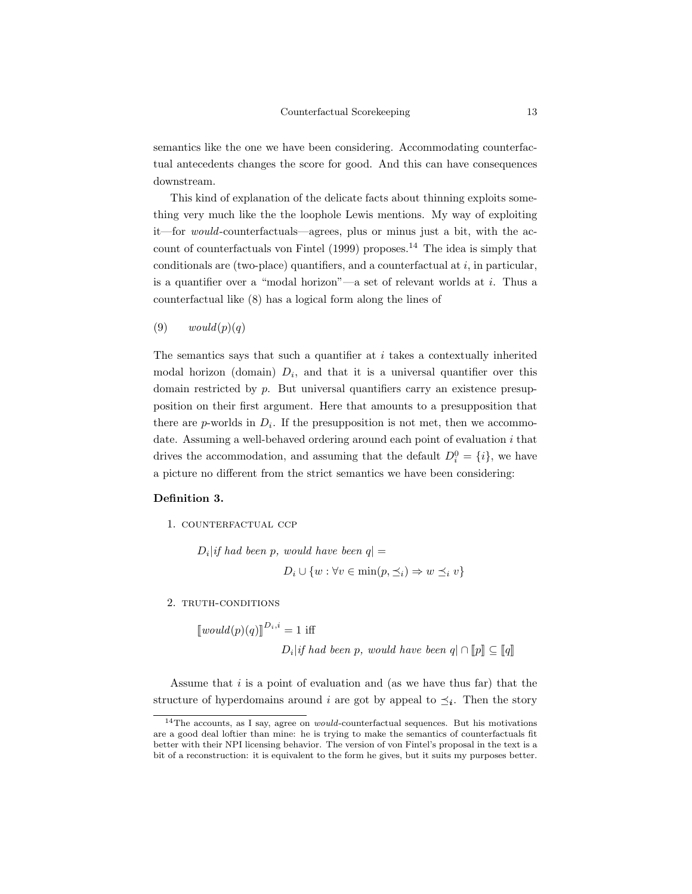semantics like the one we have been considering. Accommodating counterfactual antecedents changes the score for good. And this can have consequences downstream.

This kind of explanation of the delicate facts about thinning exploits something very much like the the loophole Lewis mentions. My way of exploiting it—for would-counterfactuals—agrees, plus or minus just a bit, with the account of counterfactuals von Fintel (1999) proposes.<sup>14</sup> The idea is simply that conditionals are (two-place) quantifiers, and a counterfactual at  $i$ , in particular, is a quantifier over a "modal horizon"—a set of relevant worlds at  $i$ . Thus a counterfactual like (8) has a logical form along the lines of

 $(9) \t would(p)(q)$ 

The semantics says that such a quantifier at  $i$  takes a contextually inherited modal horizon (domain)  $D_i$ , and that it is a universal quantifier over this domain restricted by  $p$ . But universal quantifiers carry an existence presupposition on their first argument. Here that amounts to a presupposition that there are  $p$ -worlds in  $D_i$ . If the presupposition is not met, then we accommodate. Assuming a well-behaved ordering around each point of evaluation  $i$  that drives the accommodation, and assuming that the default  $D_i^0 = \{i\}$ , we have a picture no different from the strict semantics we have been considering:

### Definition 3.

1. counterfactual ccp

 $D_i$ |if had been p, would have been  $q$ | =  $D_i \cup \{w : \forall v \in \min(p, \preceq_i) \Rightarrow w \preceq_i v\}$ 

2. TRUTH-CONDITIONS

 $[[would(p)(q)]^{D_i,i} = 1$  iff

 $D_i |if \; had \; been \; p, \; would \; have \; been \; q \vert \cap [p] \subseteq [q]$ 

Assume that  $i$  is a point of evaluation and (as we have thus far) that the structure of hyperdomains around i are got by appeal to  $\preceq_i$ . Then the story

 $^{14}\mathrm{The}$  accounts, as I say, agree on  $\it would$  counterfactual sequences. But his motivations are a good deal loftier than mine: he is trying to make the semantics of counterfactuals fit better with their NPI licensing behavior. The version of von Fintel's proposal in the text is a bit of a reconstruction: it is equivalent to the form he gives, but it suits my purposes better.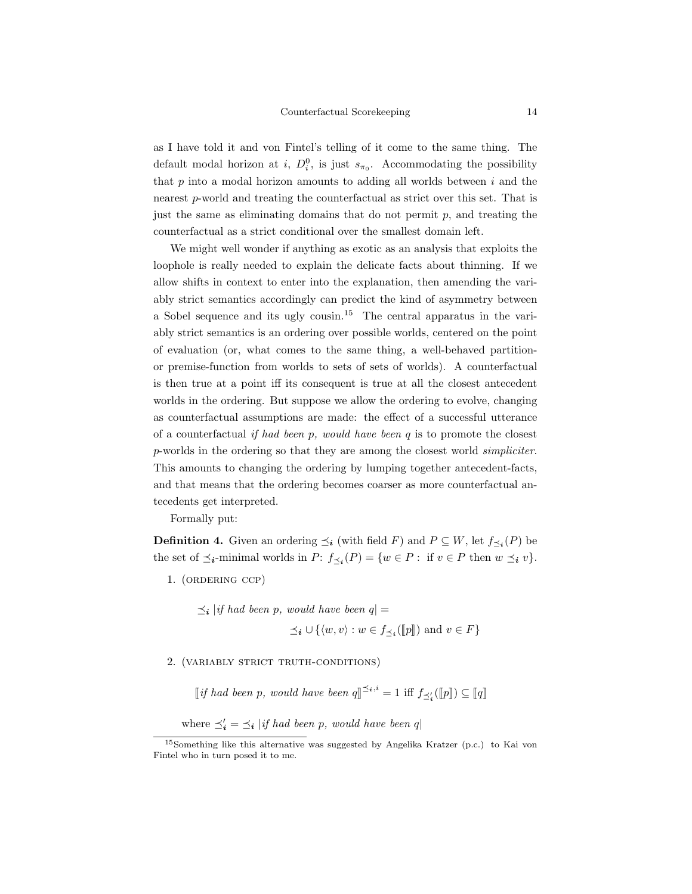as I have told it and von Fintel's telling of it come to the same thing. The default modal horizon at *i*,  $D_i^0$ , is just  $s_{\pi_0}$ . Accommodating the possibility that  $p$  into a modal horizon amounts to adding all worlds between  $i$  and the nearest p-world and treating the counterfactual as strict over this set. That is just the same as eliminating domains that do not permit  $p$ , and treating the counterfactual as a strict conditional over the smallest domain left.

We might well wonder if anything as exotic as an analysis that exploits the loophole is really needed to explain the delicate facts about thinning. If we allow shifts in context to enter into the explanation, then amending the variably strict semantics accordingly can predict the kind of asymmetry between a Sobel sequence and its ugly cousin.<sup>15</sup> The central apparatus in the variably strict semantics is an ordering over possible worlds, centered on the point of evaluation (or, what comes to the same thing, a well-behaved partitionor premise-function from worlds to sets of sets of worlds). A counterfactual is then true at a point iff its consequent is true at all the closest antecedent worlds in the ordering. But suppose we allow the ordering to evolve, changing as counterfactual assumptions are made: the effect of a successful utterance of a counterfactual if had been  $p$ , would have been  $q$  is to promote the closest p-worlds in the ordering so that they are among the closest world simpliciter. This amounts to changing the ordering by lumping together antecedent-facts, and that means that the ordering becomes coarser as more counterfactual antecedents get interpreted.

Formally put:

**Definition 4.** Given an ordering  $\preceq_i$  (with field F) and  $P \subseteq W$ , let  $f_{\preceq_i}(P)$  be the set of  $\preceq_i$ -minimal worlds in  $P: f_{\preceq_i}(P) = \{w \in P : \text{ if } v \in P \text{ then } w \preceq_i v\}.$ 

1. (ordering ccp)

$$
\preceq_i |if \text{ had been } p, \text{ would have been } q| =
$$
  
 $\preceq_i \cup \{ \langle w, v \rangle : w \in f_{\preceq_i}([\![p]\!]) \text{ and } v \in F \}$ 

2. (variably strict truth-conditions)

[if had been p, would have been  $q \rVert^{\preceq_i, i} = 1$  iff  $f_{\preceq'_i}(\llbracket p \rrbracket) \subseteq \llbracket q \rrbracket$ 

where  $\preceq'_i = \preceq_i |if \; had \; been \; p, \; would \; have \; been \; q|$ 

<sup>15</sup>Something like this alternative was suggested by Angelika Kratzer (p.c.) to Kai von Fintel who in turn posed it to me.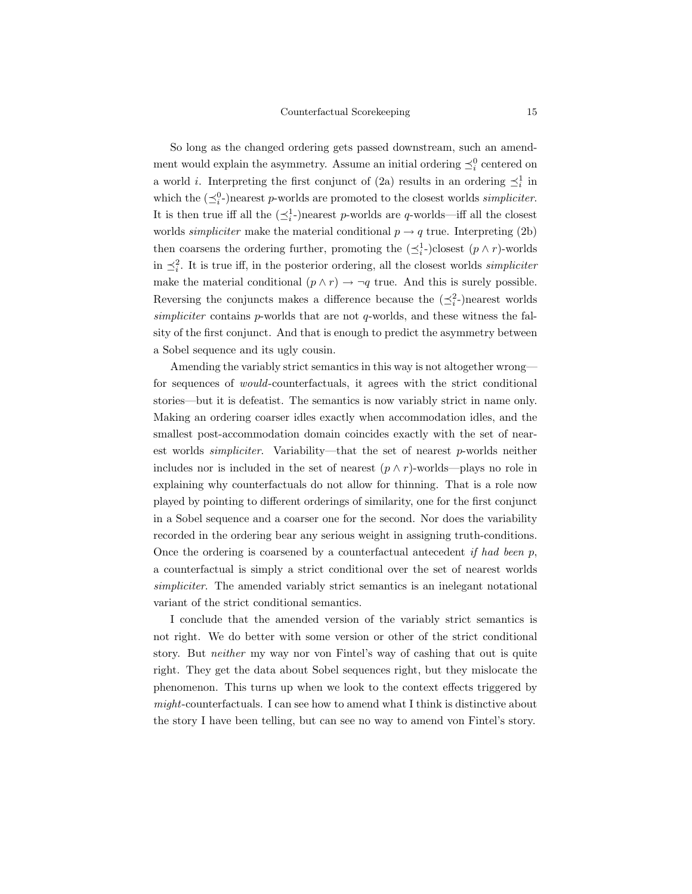So long as the changed ordering gets passed downstream, such an amendment would explain the asymmetry. Assume an initial ordering  $\preceq_i^0$  centered on a world *i*. Interpreting the first conjunct of (2a) results in an ordering  $\preceq_i^1$  in which the  $(\preceq_i^0)$  nearest p-worlds are promoted to the closest worlds *simpliciter*. It is then true iff all the  $(\preceq_i^1)$  nearest *p*-worlds are *q*-worlds—iff all the closest worlds *simpliciter* make the material conditional  $p \rightarrow q$  true. Interpreting (2b) then coarsens the ordering further, promoting the  $(\preceq_i^1-)$ closest  $(p \wedge r)$ -worlds in  $\preceq_i^2$ . It is true iff, in the posterior ordering, all the closest worlds *simpliciter* make the material conditional  $(p \wedge r) \rightarrow \neg q$  true. And this is surely possible. Reversing the conjuncts makes a difference because the  $(\preceq_i^2)$  nearest worlds simpliciter contains p-worlds that are not q-worlds, and these witness the falsity of the first conjunct. And that is enough to predict the asymmetry between a Sobel sequence and its ugly cousin.

Amending the variably strict semantics in this way is not altogether wrong for sequences of would-counterfactuals, it agrees with the strict conditional stories—but it is defeatist. The semantics is now variably strict in name only. Making an ordering coarser idles exactly when accommodation idles, and the smallest post-accommodation domain coincides exactly with the set of nearest worlds *simpliciter*. Variability—that the set of nearest  $p$ -worlds neither includes nor is included in the set of nearest  $(p \wedge r)$ -worlds—plays no role in explaining why counterfactuals do not allow for thinning. That is a role now played by pointing to different orderings of similarity, one for the first conjunct in a Sobel sequence and a coarser one for the second. Nor does the variability recorded in the ordering bear any serious weight in assigning truth-conditions. Once the ordering is coarsened by a counterfactual antecedent if had been  $p$ , a counterfactual is simply a strict conditional over the set of nearest worlds simpliciter. The amended variably strict semantics is an inelegant notational variant of the strict conditional semantics.

I conclude that the amended version of the variably strict semantics is not right. We do better with some version or other of the strict conditional story. But neither my way nor von Fintel's way of cashing that out is quite right. They get the data about Sobel sequences right, but they mislocate the phenomenon. This turns up when we look to the context effects triggered by might-counterfactuals. I can see how to amend what I think is distinctive about the story I have been telling, but can see no way to amend von Fintel's story.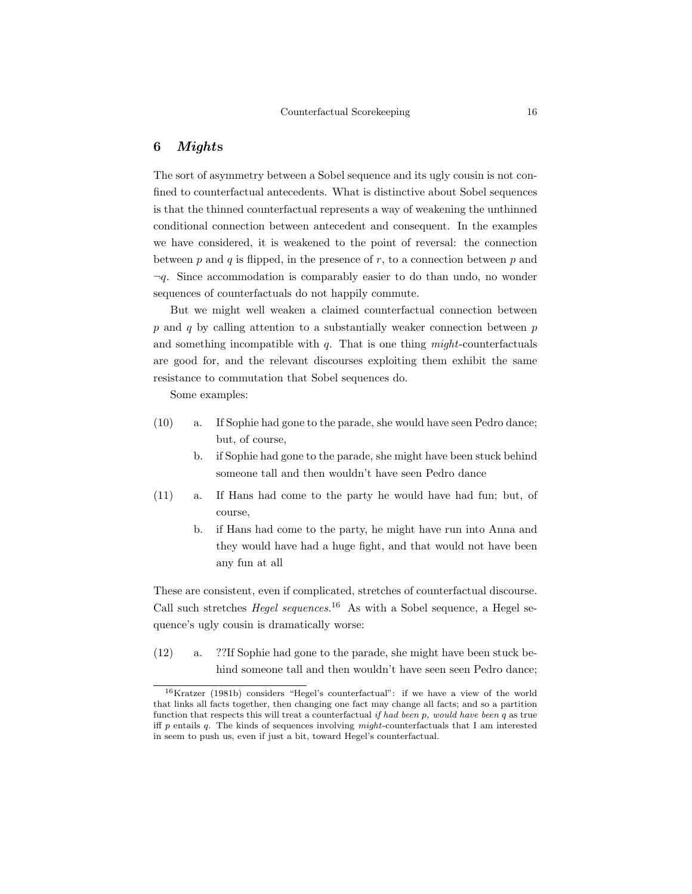## 6 Mights

The sort of asymmetry between a Sobel sequence and its ugly cousin is not confined to counterfactual antecedents. What is distinctive about Sobel sequences is that the thinned counterfactual represents a way of weakening the unthinned conditional connection between antecedent and consequent. In the examples we have considered, it is weakened to the point of reversal: the connection between  $p$  and  $q$  is flipped, in the presence of  $r$ , to a connection between  $p$  and  $\neg q$ . Since accommodation is comparably easier to do than undo, no wonder sequences of counterfactuals do not happily commute.

But we might well weaken a claimed counterfactual connection between  $p$  and  $q$  by calling attention to a substantially weaker connection between  $p$ and something incompatible with  $q$ . That is one thing *might*-counterfactuals are good for, and the relevant discourses exploiting them exhibit the same resistance to commutation that Sobel sequences do.

Some examples:

- (10) a. If Sophie had gone to the parade, she would have seen Pedro dance; but, of course,
	- b. if Sophie had gone to the parade, she might have been stuck behind someone tall and then wouldn't have seen Pedro dance
- (11) a. If Hans had come to the party he would have had fun; but, of course,
	- b. if Hans had come to the party, he might have run into Anna and they would have had a huge fight, and that would not have been any fun at all

These are consistent, even if complicated, stretches of counterfactual discourse. Call such stretches *Hegel sequences*.<sup>16</sup> As with a Sobel sequence, a Hegel sequence's ugly cousin is dramatically worse:

(12) a. ??If Sophie had gone to the parade, she might have been stuck behind someone tall and then wouldn't have seen seen Pedro dance;

<sup>16</sup>Kratzer (1981b) considers "Hegel's counterfactual": if we have a view of the world that links all facts together, then changing one fact may change all facts; and so a partition function that respects this will treat a counterfactual if had been p, would have been  $q$  as true iff  $p$  entails  $q$ . The kinds of sequences involving might-counterfactuals that I am interested in seem to push us, even if just a bit, toward Hegel's counterfactual.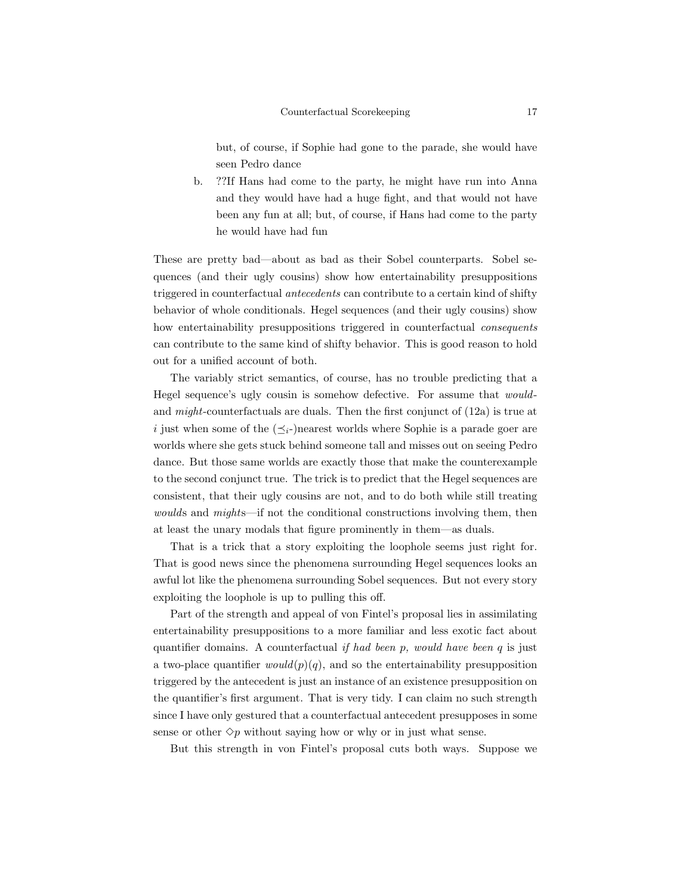but, of course, if Sophie had gone to the parade, she would have seen Pedro dance

b. ??If Hans had come to the party, he might have run into Anna and they would have had a huge fight, and that would not have been any fun at all; but, of course, if Hans had come to the party he would have had fun

These are pretty bad—about as bad as their Sobel counterparts. Sobel sequences (and their ugly cousins) show how entertainability presuppositions triggered in counterfactual antecedents can contribute to a certain kind of shifty behavior of whole conditionals. Hegel sequences (and their ugly cousins) show how entertainability presuppositions triggered in counterfactual consequents can contribute to the same kind of shifty behavior. This is good reason to hold out for a unified account of both.

The variably strict semantics, of course, has no trouble predicting that a Hegel sequence's ugly cousin is somehow defective. For assume that wouldand might-counterfactuals are duals. Then the first conjunct of (12a) is true at i just when some of the  $(\preceq_i-)$ nearest worlds where Sophie is a parade goer are worlds where she gets stuck behind someone tall and misses out on seeing Pedro dance. But those same worlds are exactly those that make the counterexample to the second conjunct true. The trick is to predict that the Hegel sequences are consistent, that their ugly cousins are not, and to do both while still treating woulds and mights—if not the conditional constructions involving them, then at least the unary modals that figure prominently in them—as duals.

That is a trick that a story exploiting the loophole seems just right for. That is good news since the phenomena surrounding Hegel sequences looks an awful lot like the phenomena surrounding Sobel sequences. But not every story exploiting the loophole is up to pulling this off.

Part of the strength and appeal of von Fintel's proposal lies in assimilating entertainability presuppositions to a more familiar and less exotic fact about quantifier domains. A counterfactual if had been  $p$ , would have been  $q$  is just a two-place quantifier  $would(p)(q)$ , and so the entertainability presupposition triggered by the antecedent is just an instance of an existence presupposition on the quantifier's first argument. That is very tidy. I can claim no such strength since I have only gestured that a counterfactual antecedent presupposes in some sense or other  $\Diamond p$  without saying how or why or in just what sense.

But this strength in von Fintel's proposal cuts both ways. Suppose we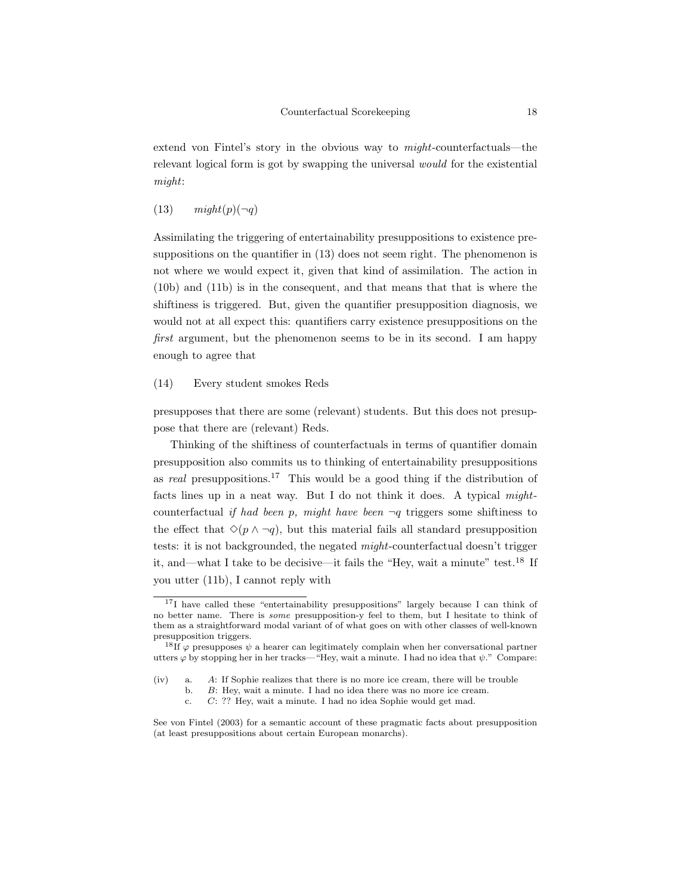extend von Fintel's story in the obvious way to might-counterfactuals—the relevant logical form is got by swapping the universal would for the existential might:

### $(13)$   $might(p)(\neg q)$

Assimilating the triggering of entertainability presuppositions to existence presuppositions on the quantifier in (13) does not seem right. The phenomenon is not where we would expect it, given that kind of assimilation. The action in (10b) and (11b) is in the consequent, and that means that that is where the shiftiness is triggered. But, given the quantifier presupposition diagnosis, we would not at all expect this: quantifiers carry existence presuppositions on the first argument, but the phenomenon seems to be in its second. I am happy enough to agree that

### (14) Every student smokes Reds

presupposes that there are some (relevant) students. But this does not presuppose that there are (relevant) Reds.

Thinking of the shiftiness of counterfactuals in terms of quantifier domain presupposition also commits us to thinking of entertainability presuppositions as real presuppositions.<sup>17</sup> This would be a good thing if the distribution of facts lines up in a neat way. But I do not think it does. A typical mightcounterfactual if had been p, might have been  $\neg q$  triggers some shiftiness to the effect that  $\Diamond(p \land \neg q)$ , but this material fails all standard presupposition tests: it is not backgrounded, the negated might-counterfactual doesn't trigger it, and—what I take to be decisive—it fails the "Hey, wait a minute" test.<sup>18</sup> If you utter (11b), I cannot reply with

<sup>&</sup>lt;sup>17</sup>I have called these "entertainability presuppositions" largely because I can think of no better name. There is some presupposition-y feel to them, but I hesitate to think of them as a straightforward modal variant of of what goes on with other classes of well-known presupposition triggers.

<sup>&</sup>lt;sup>18</sup>If  $\varphi$  presupposes  $\psi$  a hearer can legitimately complain when her conversational partner utters  $\varphi$  by stopping her in her tracks—"Hey, wait a minute. I had no idea that  $\psi$ ." Compare:

<sup>(</sup>iv) a. A: If Sophie realizes that there is no more ice cream, there will be trouble

b. B: Hey, wait a minute. I had no idea there was no more ice cream.

c. C: ?? Hey, wait a minute. I had no idea Sophie would get mad.

See von Fintel (2003) for a semantic account of these pragmatic facts about presupposition (at least presuppositions about certain European monarchs).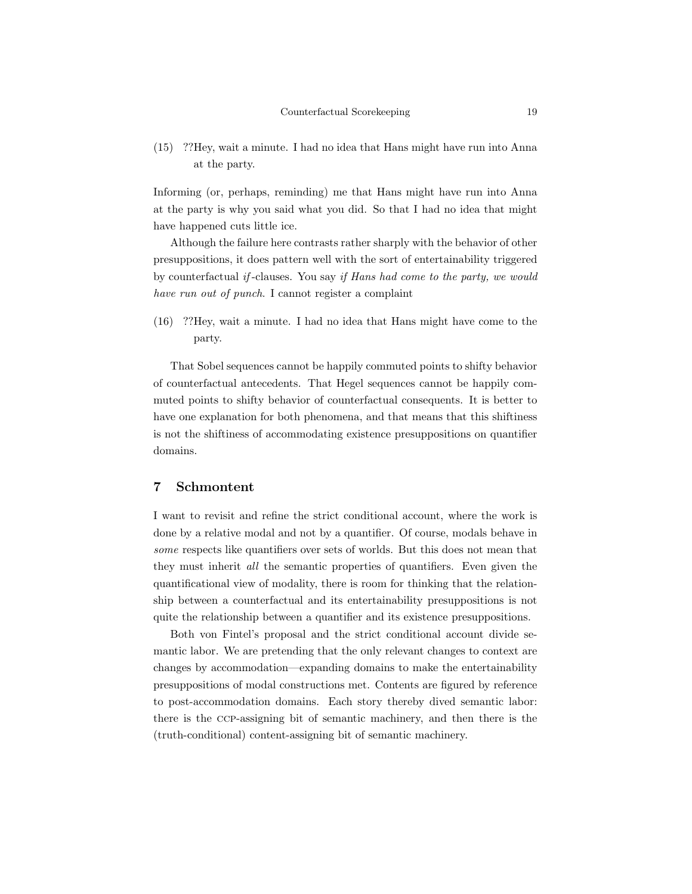(15) ??Hey, wait a minute. I had no idea that Hans might have run into Anna at the party.

Informing (or, perhaps, reminding) me that Hans might have run into Anna at the party is why you said what you did. So that I had no idea that might have happened cuts little ice.

Although the failure here contrasts rather sharply with the behavior of other presuppositions, it does pattern well with the sort of entertainability triggered by counterfactual if -clauses. You say if Hans had come to the party, we would have run out of punch. I cannot register a complaint

(16) ??Hey, wait a minute. I had no idea that Hans might have come to the party.

That Sobel sequences cannot be happily commuted points to shifty behavior of counterfactual antecedents. That Hegel sequences cannot be happily commuted points to shifty behavior of counterfactual consequents. It is better to have one explanation for both phenomena, and that means that this shiftiness is not the shiftiness of accommodating existence presuppositions on quantifier domains.

## 7 Schmontent

I want to revisit and refine the strict conditional account, where the work is done by a relative modal and not by a quantifier. Of course, modals behave in some respects like quantifiers over sets of worlds. But this does not mean that they must inherit all the semantic properties of quantifiers. Even given the quantificational view of modality, there is room for thinking that the relationship between a counterfactual and its entertainability presuppositions is not quite the relationship between a quantifier and its existence presuppositions.

Both von Fintel's proposal and the strict conditional account divide semantic labor. We are pretending that the only relevant changes to context are changes by accommodation—expanding domains to make the entertainability presuppositions of modal constructions met. Contents are figured by reference to post-accommodation domains. Each story thereby dived semantic labor: there is the ccp-assigning bit of semantic machinery, and then there is the (truth-conditional) content-assigning bit of semantic machinery.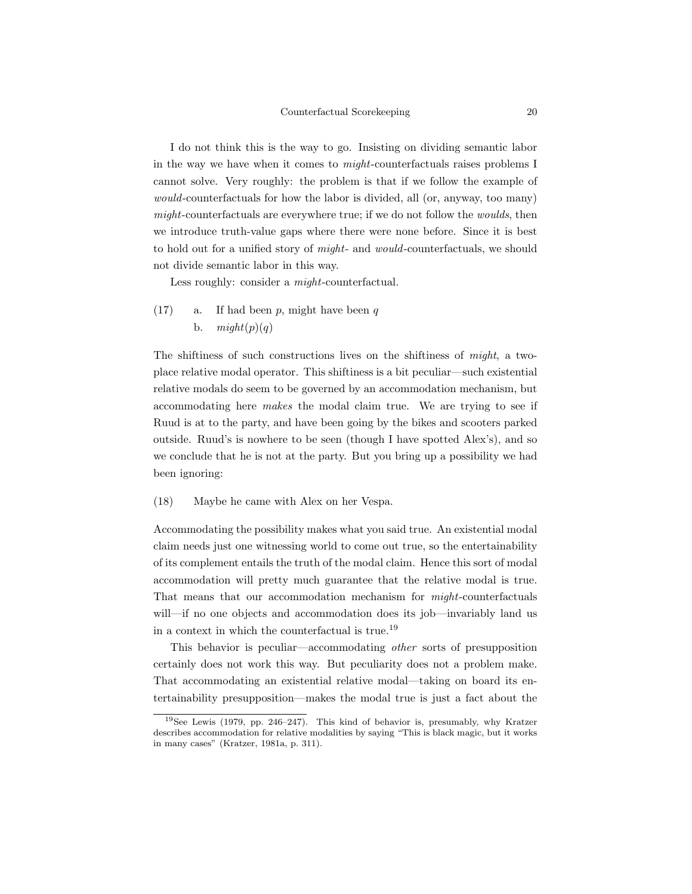I do not think this is the way to go. Insisting on dividing semantic labor in the way we have when it comes to might-counterfactuals raises problems I cannot solve. Very roughly: the problem is that if we follow the example of would-counterfactuals for how the labor is divided, all (or, anyway, too many) might-counterfactuals are everywhere true; if we do not follow the woulds, then we introduce truth-value gaps where there were none before. Since it is best to hold out for a unified story of *might*- and *would*-counterfactuals, we should not divide semantic labor in this way.

Less roughly: consider a might-counterfactual.

(17) a. If had been p, might have been q b.  $might(p)(q)$ 

The shiftiness of such constructions lives on the shiftiness of might, a twoplace relative modal operator. This shiftiness is a bit peculiar—such existential relative modals do seem to be governed by an accommodation mechanism, but accommodating here makes the modal claim true. We are trying to see if Ruud is at to the party, and have been going by the bikes and scooters parked outside. Ruud's is nowhere to be seen (though I have spotted Alex's), and so we conclude that he is not at the party. But you bring up a possibility we had been ignoring:

(18) Maybe he came with Alex on her Vespa.

Accommodating the possibility makes what you said true. An existential modal claim needs just one witnessing world to come out true, so the entertainability of its complement entails the truth of the modal claim. Hence this sort of modal accommodation will pretty much guarantee that the relative modal is true. That means that our accommodation mechanism for might-counterfactuals will—if no one objects and accommodation does its job—invariably land us in a context in which the counterfactual is true.<sup>19</sup>

This behavior is peculiar—accommodating other sorts of presupposition certainly does not work this way. But peculiarity does not a problem make. That accommodating an existential relative modal—taking on board its entertainability presupposition—makes the modal true is just a fact about the

<sup>19</sup>See Lewis (1979, pp. 246–247). This kind of behavior is, presumably, why Kratzer describes accommodation for relative modalities by saying "This is black magic, but it works in many cases" (Kratzer, 1981a, p. 311).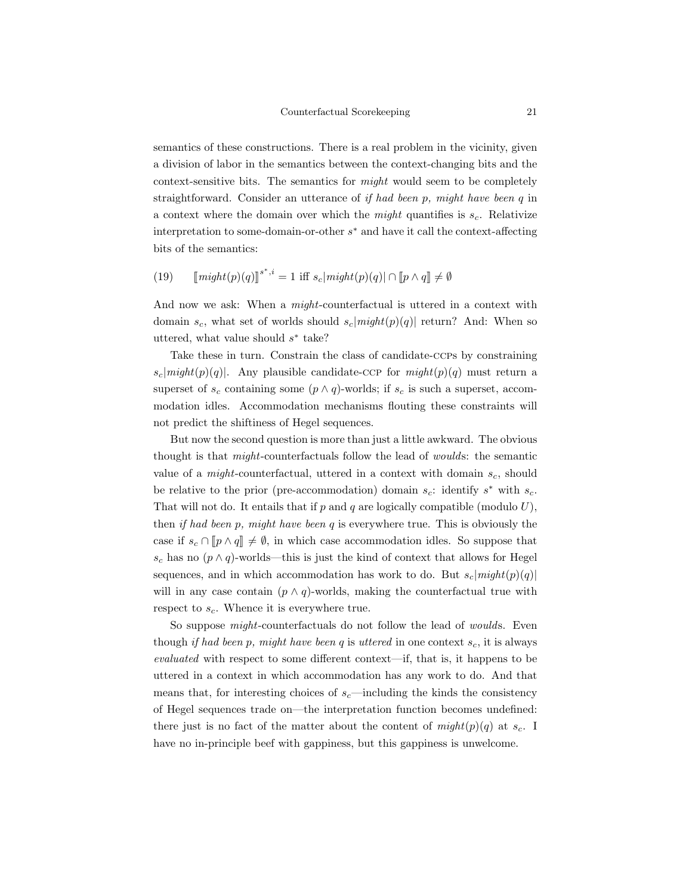semantics of these constructions. There is a real problem in the vicinity, given a division of labor in the semantics between the context-changing bits and the context-sensitive bits. The semantics for might would seem to be completely straightforward. Consider an utterance of if had been p, might have been q in a context where the domain over which the *might* quantifies is  $s_c$ . Relativize interpretation to some-domain-or-other s <sup>∗</sup> and have it call the context-affecting bits of the semantics:

(19) 
$$
[\text{might}(p)(q)]^{s^*,i} = 1 \text{ iff } s_c |\text{might}(p)(q)| \cap [\![p \wedge q]\!] \neq \emptyset
$$

And now we ask: When a *might*-counterfactual is uttered in a context with domain  $s_c$ , what set of worlds should  $s_c|might(p)(q)|$  return? And: When so uttered, what value should  $s^*$  take?

Take these in turn. Constrain the class of candidate-ccps by constraining  $s_c|might(p)(q)|$ . Any plausible candidate-CCP for  $might(p)(q)$  must return a superset of  $s_c$  containing some  $(p \wedge q)$ -worlds; if  $s_c$  is such a superset, accommodation idles. Accommodation mechanisms flouting these constraints will not predict the shiftiness of Hegel sequences.

But now the second question is more than just a little awkward. The obvious thought is that might-counterfactuals follow the lead of woulds: the semantic value of a *might*-counterfactual, uttered in a context with domain  $s_c$ , should be relative to the prior (pre-accommodation) domain  $s_c$ : identify  $s^*$  with  $s_c$ . That will not do. It entails that if  $p$  and  $q$  are logically compatible (modulo  $U$ ), then if had been p, might have been q is everywhere true. This is obviously the case if  $s_c \cap [p \wedge q] \neq \emptyset$ , in which case accommodation idles. So suppose that s<sub>c</sub> has no  $(p \wedge q)$ -worlds—this is just the kind of context that allows for Hegel sequences, and in which accommodation has work to do. But  $s_c|might(p)(q)|$ will in any case contain  $(p \wedge q)$ -worlds, making the counterfactual true with respect to  $s_c$ . Whence it is everywhere true.

So suppose *might*-counterfactuals do not follow the lead of *woulds*. Even though if had been p, might have been q is uttered in one context  $s_c$ , it is always evaluated with respect to some different context—if, that is, it happens to be uttered in a context in which accommodation has any work to do. And that means that, for interesting choices of  $s_c$ —including the kinds the consistency of Hegel sequences trade on—the interpretation function becomes undefined: there just is no fact of the matter about the content of  $might(p)(q)$  at  $s_c$ . have no in-principle beef with gappiness, but this gappiness is unwelcome.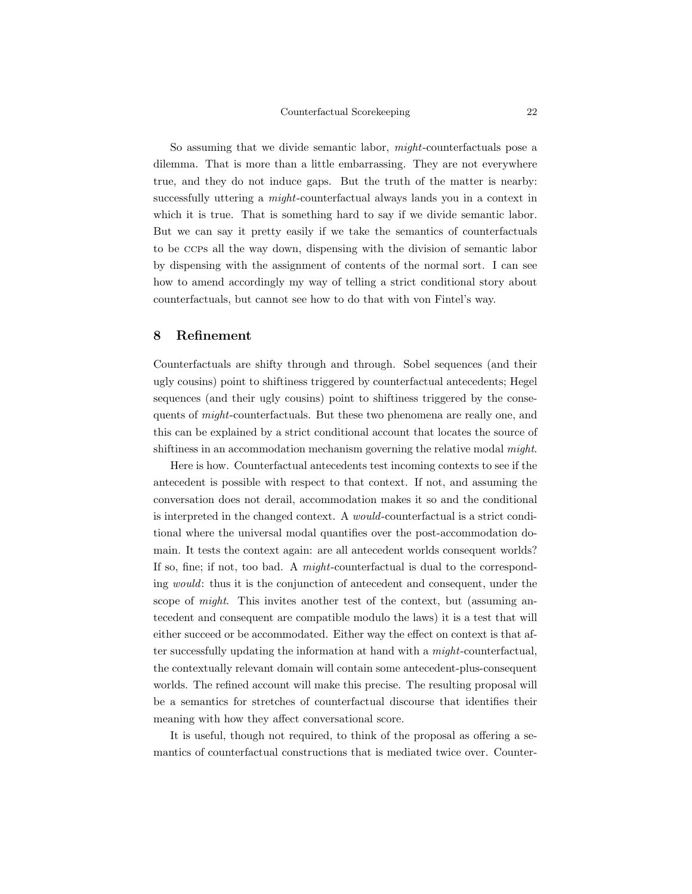So assuming that we divide semantic labor, might-counterfactuals pose a dilemma. That is more than a little embarrassing. They are not everywhere true, and they do not induce gaps. But the truth of the matter is nearby: successfully uttering a *might*-counterfactual always lands you in a context in which it is true. That is something hard to say if we divide semantic labor. But we can say it pretty easily if we take the semantics of counterfactuals to be ccps all the way down, dispensing with the division of semantic labor by dispensing with the assignment of contents of the normal sort. I can see how to amend accordingly my way of telling a strict conditional story about counterfactuals, but cannot see how to do that with von Fintel's way.

## 8 Refinement

Counterfactuals are shifty through and through. Sobel sequences (and their ugly cousins) point to shiftiness triggered by counterfactual antecedents; Hegel sequences (and their ugly cousins) point to shiftiness triggered by the consequents of might-counterfactuals. But these two phenomena are really one, and this can be explained by a strict conditional account that locates the source of shiftiness in an accommodation mechanism governing the relative modal *might*.

Here is how. Counterfactual antecedents test incoming contexts to see if the antecedent is possible with respect to that context. If not, and assuming the conversation does not derail, accommodation makes it so and the conditional is interpreted in the changed context. A would-counterfactual is a strict conditional where the universal modal quantifies over the post-accommodation domain. It tests the context again: are all antecedent worlds consequent worlds? If so, fine; if not, too bad. A might-counterfactual is dual to the corresponding would: thus it is the conjunction of antecedent and consequent, under the scope of *might*. This invites another test of the context, but (assuming antecedent and consequent are compatible modulo the laws) it is a test that will either succeed or be accommodated. Either way the effect on context is that after successfully updating the information at hand with a might-counterfactual, the contextually relevant domain will contain some antecedent-plus-consequent worlds. The refined account will make this precise. The resulting proposal will be a semantics for stretches of counterfactual discourse that identifies their meaning with how they affect conversational score.

It is useful, though not required, to think of the proposal as offering a semantics of counterfactual constructions that is mediated twice over. Counter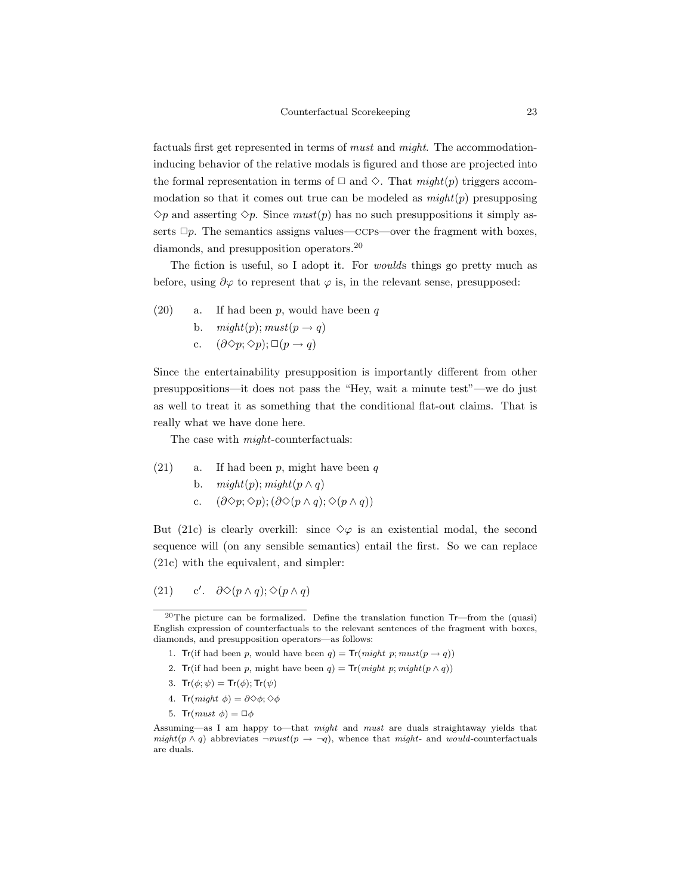factuals first get represented in terms of must and might. The accommodationinducing behavior of the relative modals is figured and those are projected into the formal representation in terms of  $\Box$  and  $\diamond$ . That  $might(p)$  triggers accommodation so that it comes out true can be modeled as  $might(p)$  presupposing  $\Diamond p$  and asserting  $\Diamond p$ . Since  $must(p)$  has no such presuppositions it simply asserts  $\Box p$ . The semantics assigns values—ccps—over the fragment with boxes, diamonds, and presupposition operators.<sup>20</sup>

The fiction is useful, so I adopt it. For woulds things go pretty much as before, using  $\partial \varphi$  to represent that  $\varphi$  is, in the relevant sense, presupposed:

- (20) a. If had been  $p$ , would have been  $q$ 
	- b.  $might(p); must(p \rightarrow q)$
	- c.  $(\partial \Diamond p; \Diamond p); \Box (p \rightarrow q)$

Since the entertainability presupposition is importantly different from other presuppositions—it does not pass the "Hey, wait a minute test"—we do just as well to treat it as something that the conditional flat-out claims. That is really what we have done here.

The case with  $might$ -counterfactuals:

- $(21)$  a. If had been p, might have been q
	- b.  $might(p); might(p \wedge q)$
	- c.  $(\partial \Diamond p; \Diamond p); (\partial \Diamond (p \land q); \Diamond (p \land q))$

But (21c) is clearly overkill: since  $\diamond \varphi$  is an existential modal, the second sequence will (on any sensible semantics) entail the first. So we can replace (21c) with the equivalent, and simpler:

#### $(21)$ c'.  $\partial \Diamond (p \land q)$ ;  $\Diamond (p \land q)$

- 1. Tr(if had been p, would have been  $q$ ) = Tr(might p; must( $p \rightarrow q$ ))
- 2. Tr(if had been p, might have been  $q$ ) = Tr(might p; might( $p \wedge q$ ))
- 3.  $Tr(\phi; \psi) = Tr(\phi)$ ;  $Tr(\psi)$
- 4. Tr(might  $\phi$ ) =  $\partial \Diamond \phi$ ;  $\Diamond \phi$
- 5. Tr $(must \phi) = \Box \phi$

<sup>&</sup>lt;sup>20</sup>The picture can be formalized. Define the translation function  $Tr$ —from the (quasi) English expression of counterfactuals to the relevant sentences of the fragment with boxes, diamonds, and presupposition operators—as follows:

Assuming—as I am happy to—that might and must are duals straightaway yields that  $might(p \wedge q)$  abbreviates  $\neg must(p \rightarrow \neg q)$ , whence that might- and would-counterfactuals are duals.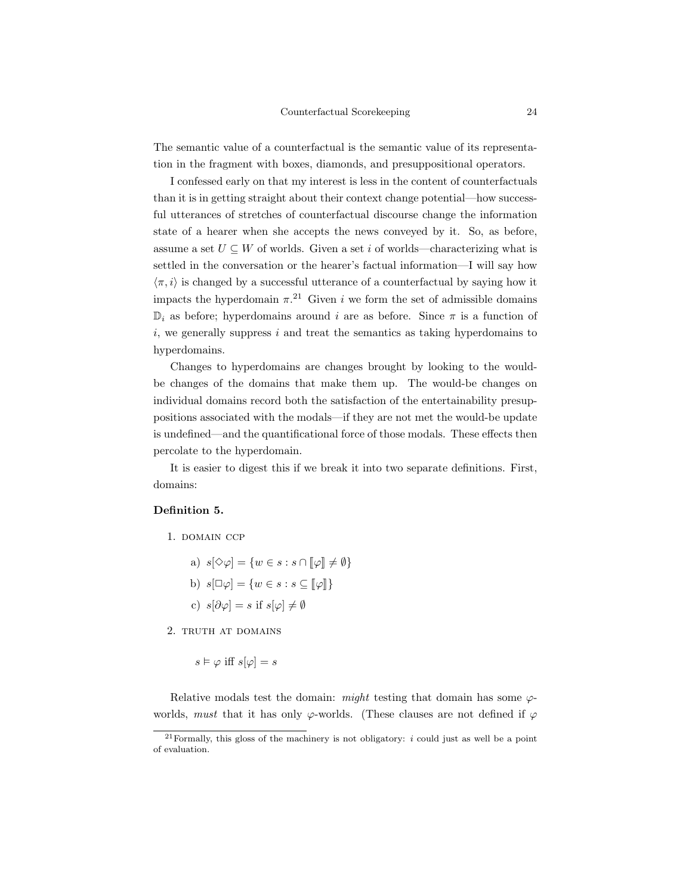The semantic value of a counterfactual is the semantic value of its representation in the fragment with boxes, diamonds, and presuppositional operators.

I confessed early on that my interest is less in the content of counterfactuals than it is in getting straight about their context change potential—how successful utterances of stretches of counterfactual discourse change the information state of a hearer when she accepts the news conveyed by it. So, as before, assume a set  $U \subseteq W$  of worlds. Given a set i of worlds—characterizing what is settled in the conversation or the hearer's factual information—I will say how  $\langle \pi, i \rangle$  is changed by a successful utterance of a counterfactual by saying how it impacts the hyperdomain  $\pi$ <sup>21</sup> Given i we form the set of admissible domains  $\mathbb{D}_i$  as before; hyperdomains around i are as before. Since  $\pi$  is a function of  $i$ , we generally suppress i and treat the semantics as taking hyperdomains to hyperdomains.

Changes to hyperdomains are changes brought by looking to the wouldbe changes of the domains that make them up. The would-be changes on individual domains record both the satisfaction of the entertainability presuppositions associated with the modals—if they are not met the would-be update is undefined—and the quantificational force of those modals. These effects then percolate to the hyperdomain.

It is easier to digest this if we break it into two separate definitions. First, domains:

## Definition 5.

1. domain ccp

a)  $s[\Diamond \varphi] = \{w \in s : s \cap \llbracket \varphi \rrbracket \neq \emptyset\}$ b)  $s[\Box \varphi] = \{w \in s : s \subseteq [\varphi]\}$ c)  $s[\partial \varphi] = s$  if  $s[\varphi] \neq \emptyset$ 

2. truth at domains

 $s \vDash \varphi$  iff  $s[\varphi] = s$ 

Relative modals test the domain: might testing that domain has some  $\varphi$ worlds, must that it has only  $\varphi$ -worlds. (These clauses are not defined if  $\varphi$ 

 $^{21}$ Formally, this gloss of the machinery is not obligatory: *i* could just as well be a point of evaluation.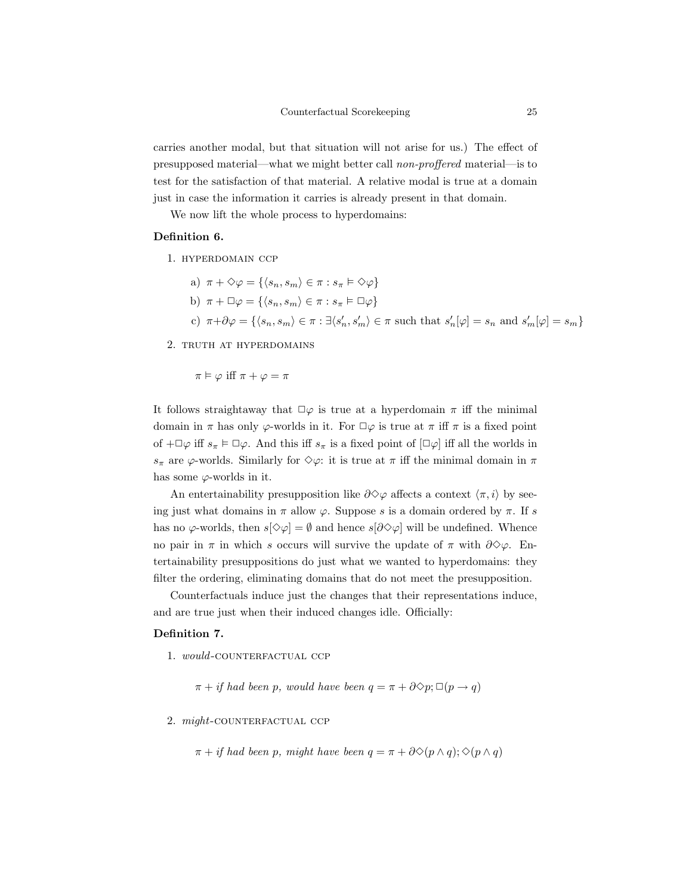carries another modal, but that situation will not arise for us.) The effect of presupposed material—what we might better call non-proffered material—is to test for the satisfaction of that material. A relative modal is true at a domain just in case the information it carries is already present in that domain.

We now lift the whole process to hyperdomains:

### Definition 6.

1. hyperdomain ccp

- a)  $\pi + \Diamond \varphi = \{ \langle s_n, s_m \rangle \in \pi : s_{\pi} \models \Diamond \varphi \}$
- b)  $\pi + \Box \varphi = \{ \langle s_n, s_m \rangle \in \pi : s_{\pi} \models \Box \varphi \}$
- c)  $\pi + \partial \varphi = \{ \langle s_n, s_m \rangle \in \pi : \exists \langle s_n', s_m' \rangle \in \pi \text{ such that } s_n'[\varphi] = s_n \text{ and } s_m'[\varphi] = s_m \}$

2. truth at hyperdomains

$$
\pi \vDash \varphi \text{ iff } \pi + \varphi = \pi
$$

It follows straightaway that  $\square \varphi$  is true at a hyperdomain  $\pi$  iff the minimal domain in  $\pi$  has only  $\varphi$ -worlds in it. For  $\Box \varphi$  is true at  $\pi$  iff  $\pi$  is a fixed point of  $+\Box\varphi$  iff  $s_\pi \models \Box\varphi$ . And this iff  $s_\pi$  is a fixed point of  $[\Box\varphi]$  iff all the worlds in  $s_{\pi}$  are  $\varphi$ -worlds. Similarly for  $\diamond \varphi$ : it is true at  $\pi$  iff the minimal domain in  $\pi$ has some  $\varphi$ -worlds in it.

An entertainability presupposition like  $\partial \Diamond \varphi$  affects a context  $\langle \pi, i \rangle$  by seeing just what domains in  $\pi$  allow  $\varphi$ . Suppose s is a domain ordered by  $\pi$ . If s has no  $\varphi$ -worlds, then  $s[\Diamond \varphi] = \emptyset$  and hence  $s[\partial \Diamond \varphi]$  will be undefined. Whence no pair in  $\pi$  in which s occurs will survive the update of  $\pi$  with  $\partial \Diamond \varphi$ . Entertainability presuppositions do just what we wanted to hyperdomains: they filter the ordering, eliminating domains that do not meet the presupposition.

Counterfactuals induce just the changes that their representations induce, and are true just when their induced changes idle. Officially:

### Definition 7.

1. would-COUNTERFACTUAL CCP

 $\pi + if$  had been p, would have been  $q = \pi + \partial \Diamond p$ ;  $\Box(p \rightarrow q)$ 

### 2. might-COUNTERFACTUAL CCP

 $\pi + i f$  had been p, might have been  $q = \pi + \partial \Diamond (p \land q); \Diamond (p \land q)$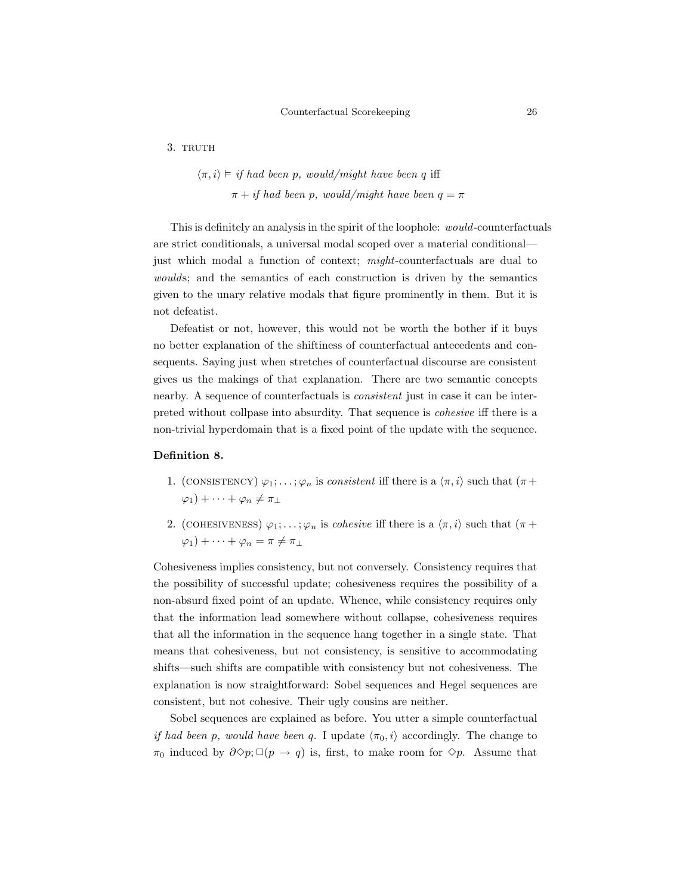3. TRUTH

$$
\langle \pi, i \rangle \models
$$
 if had been p, would/might have been q iff  
 $\pi + if$  had been p, would/might have been  $q = \pi$ 

This is definitely an analysis in the spirit of the loophole: would-counterfactuals are strict conditionals, a universal modal scoped over a material conditional just which modal a function of context; *might*-counterfactuals are dual to woulds; and the semantics of each construction is driven by the semantics given to the unary relative modals that figure prominently in them. But it is not defeatist.

Defeatist or not, however, this would not be worth the bother if it buys no better explanation of the shiftiness of counterfactual antecedents and consequents. Saying just when stretches of counterfactual discourse are consistent gives us the makings of that explanation. There are two semantic concepts nearby. A sequence of counterfactuals is *consistent* just in case it can be interpreted without collpase into absurdity. That sequence is cohesive iff there is a non-trivial hyperdomain that is a fixed point of the update with the sequence.

### Definition 8.

- 1. (CONSISTENCY)  $\varphi_1; \ldots; \varphi_n$  is consistent iff there is a  $\langle \pi, i \rangle$  such that  $(\pi +$  $\varphi_1$ ) +  $\cdots$  +  $\varphi_n \neq \pi_{\perp}$
- 2. (COHESIVENESS)  $\varphi_1; \ldots; \varphi_n$  is *cohesive* iff there is a  $\langle \pi, i \rangle$  such that  $(\pi +$  $\varphi_1$ ) +  $\cdots$  +  $\varphi_n = \pi \neq \pi_1$

Cohesiveness implies consistency, but not conversely. Consistency requires that the possibility of successful update; cohesiveness requires the possibility of a non-absurd fixed point of an update. Whence, while consistency requires only that the information lead somewhere without collapse, cohesiveness requires that all the information in the sequence hang together in a single state. That means that cohesiveness, but not consistency, is sensitive to accommodating shifts—such shifts are compatible with consistency but not cohesiveness. The explanation is now straightforward: Sobel sequences and Hegel sequences are consistent, but not cohesive. Their ugly cousins are neither.

Sobel sequences are explained as before. You utter a simple counterfactual if had been p, would have been q. I update  $\langle \pi_0, i \rangle$  accordingly. The change to  $\pi_0$  induced by  $\partial \Diamond p$ ;  $\Box (p \rightarrow q)$  is, first, to make room for  $\Diamond p$ . Assume that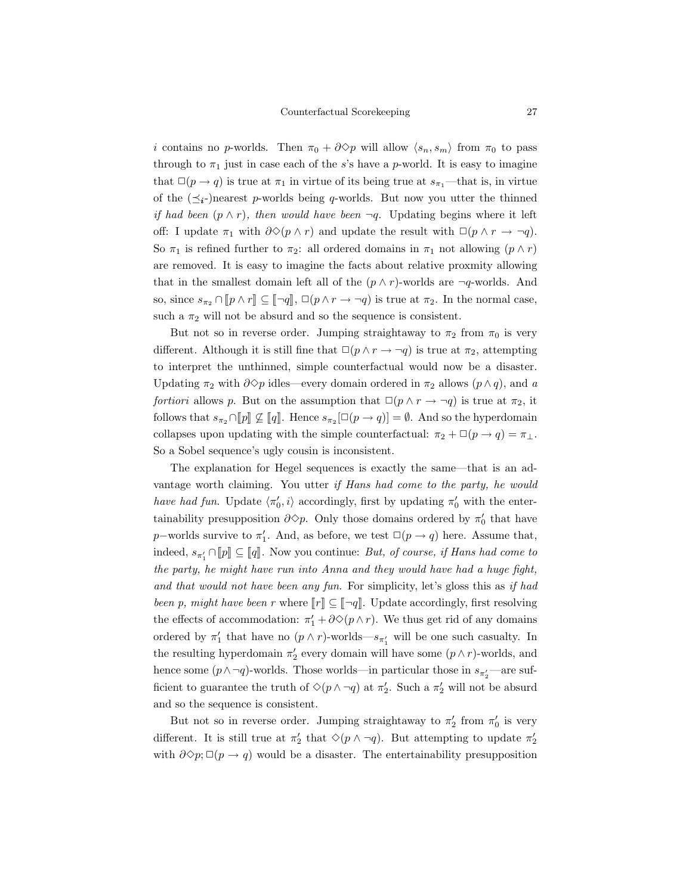*i* contains no *p*-worlds. Then  $\pi_0 + \partial^2 \varphi$  will allow  $\langle s_n, s_m \rangle$  from  $\pi_0$  to pass through to  $\pi_1$  just in case each of the s's have a p-world. It is easy to imagine that  $\square(p \rightarrow q)$  is true at  $\pi_1$  in virtue of its being true at  $s_{\pi_1}$ —that is, in virtue of the  $(\preceq_i-)$ nearest p-worlds being q-worlds. But now you utter the thinned if had been  $(p \wedge r)$ , then would have been  $\neg q$ . Updating begins where it left off: I update  $\pi_1$  with  $\partial \diamond (p \wedge r)$  and update the result with  $\Box (p \wedge r \rightarrow \neg q)$ . So  $\pi_1$  is refined further to  $\pi_2$ : all ordered domains in  $\pi_1$  not allowing  $(p \wedge r)$ are removed. It is easy to imagine the facts about relative proxmity allowing that in the smallest domain left all of the  $(p \wedge r)$ -worlds are  $\neg q$ -worlds. And so, since  $s_{\pi_2} \cap [p \wedge r] \subseteq [\neg q], \Box(p \wedge r \rightarrow \neg q)$  is true at  $\pi_2$ . In the normal case, such a  $\pi_2$  will not be absurd and so the sequence is consistent.

But not so in reverse order. Jumping straightaway to  $\pi_2$  from  $\pi_0$  is very different. Although it is still fine that  $\Box(p \land r \rightarrow \neg q)$  is true at  $\pi_2$ , attempting to interpret the unthinned, simple counterfactual would now be a disaster. Updating  $\pi_2$  with  $\partial \Diamond p$  idles—every domain ordered in  $\pi_2$  allows  $(p \land q)$ , and a fortiori allows p. But on the assumption that  $\Box(p \land r \rightarrow \neg q)$  is true at  $\pi_2$ , it follows that  $s_{\pi_2} \cap [p] \not\subseteq [q]$ . Hence  $s_{\pi_2} [\Box (p \to q)] = \emptyset$ . And so the hyperdomain collapses upon updating with the simple counterfactual:  $\pi_2 + \Box(p \rightarrow q) = \pi_\perp$ . So a Sobel sequence's ugly cousin is inconsistent.

The explanation for Hegel sequences is exactly the same—that is an advantage worth claiming. You utter if Hans had come to the party, he would have had fun. Update  $\langle \pi'_0, i \rangle$  accordingly, first by updating  $\pi'_0$  with the entertainability presupposition  $\partial \Diamond p$ . Only those domains ordered by  $\pi'_0$  that have p–worlds survive to  $\pi'_1$ . And, as before, we test  $\square(p \to q)$  here. Assume that, indeed,  $s_{\pi'_1} \cap [p] \subseteq [q]$ . Now you continue: But, of course, if Hans had come to the party, he might have run into Anna and they would have had a huge fight, and that would not have been any fun. For simplicity, let's gloss this as if had been p, might have been r where  $\llbracket r \rrbracket \subseteq \llbracket \neg q \rrbracket$ . Update accordingly, first resolving the effects of accommodation:  $\pi'_1 + \partial \Diamond (p \wedge r)$ . We thus get rid of any domains ordered by  $\pi'_1$  that have no  $(p \wedge r)$ -worlds— $s_{\pi'_1}$  will be one such casualty. In the resulting hyperdomain  $\pi'_2$  every domain will have some  $(p \wedge r)$ -worlds, and hence some  $(p \land \neg q)$ -worlds. Those worlds—in particular those in  $s_{\pi'_2}$ —are sufficient to guarantee the truth of  $\Diamond(p \land \neg q)$  at  $\pi'_2$ . Such a  $\pi'_2$  will not be absurd and so the sequence is consistent.

But not so in reverse order. Jumping straightaway to  $\pi'_2$  from  $\pi'_0$  is very different. It is still true at  $\pi'_2$  that  $\Diamond(p \land \neg q)$ . But attempting to update  $\pi'_2$ with  $\partial \Diamond p$ ;  $\Box (p \rightarrow q)$  would be a disaster. The entertainability presupposition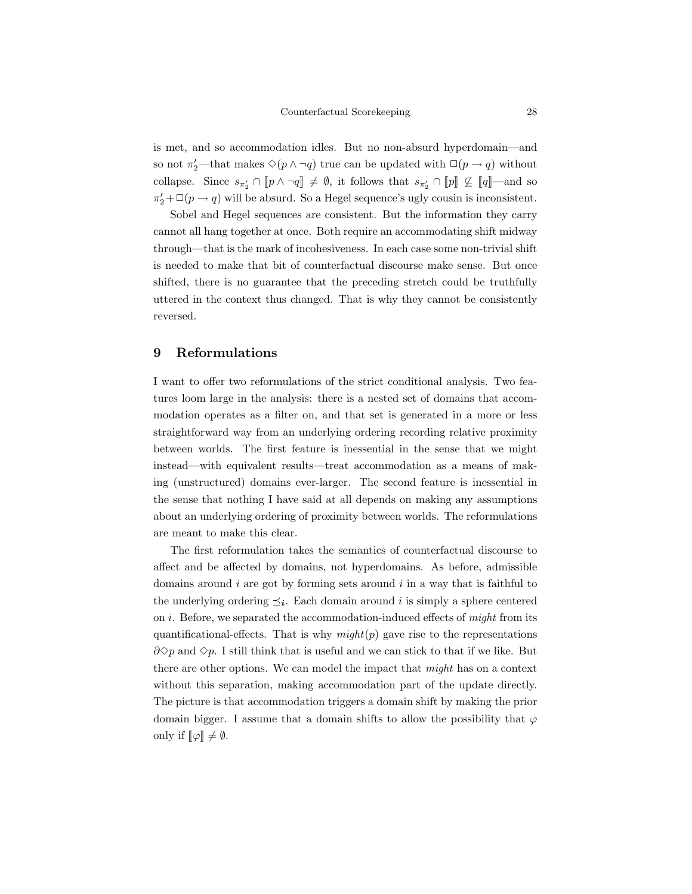is met, and so accommodation idles. But no non-absurd hyperdomain—and so not  $\pi_2'$ —that makes  $\Diamond(p \land \neg q)$  true can be updated with  $\Box(p \rightarrow q)$  without collapse. Since  $s_{\pi'_2} \cap [p \wedge \neg q] \neq \emptyset$ , it follows that  $s_{\pi'_2} \cap [p] \not\subseteq [q]$ —and so  $\pi'_2 + \Box(p \to q)$  will be absurd. So a Hegel sequence's ugly cousin is inconsistent.

Sobel and Hegel sequences are consistent. But the information they carry cannot all hang together at once. Both require an accommodating shift midway through—that is the mark of incohesiveness. In each case some non-trivial shift is needed to make that bit of counterfactual discourse make sense. But once shifted, there is no guarantee that the preceding stretch could be truthfully uttered in the context thus changed. That is why they cannot be consistently reversed.

## 9 Reformulations

I want to offer two reformulations of the strict conditional analysis. Two features loom large in the analysis: there is a nested set of domains that accommodation operates as a filter on, and that set is generated in a more or less straightforward way from an underlying ordering recording relative proximity between worlds. The first feature is inessential in the sense that we might instead—with equivalent results—treat accommodation as a means of making (unstructured) domains ever-larger. The second feature is inessential in the sense that nothing I have said at all depends on making any assumptions about an underlying ordering of proximity between worlds. The reformulations are meant to make this clear.

The first reformulation takes the semantics of counterfactual discourse to affect and be affected by domains, not hyperdomains. As before, admissible domains around  $i$  are got by forming sets around  $i$  in a way that is faithful to the underlying ordering  $\preceq_i$ . Each domain around i is simply a sphere centered on  $i$ . Before, we separated the accommodation-induced effects of  $might$  from its quantificational-effects. That is why  $might(p)$  gave rise to the representations  $\partial \diamond p$  and  $\diamond p$ . I still think that is useful and we can stick to that if we like. But there are other options. We can model the impact that might has on a context without this separation, making accommodation part of the update directly. The picture is that accommodation triggers a domain shift by making the prior domain bigger. I assume that a domain shifts to allow the possibility that  $\varphi$ only if  $\llbracket \varphi \rrbracket \neq \emptyset$ .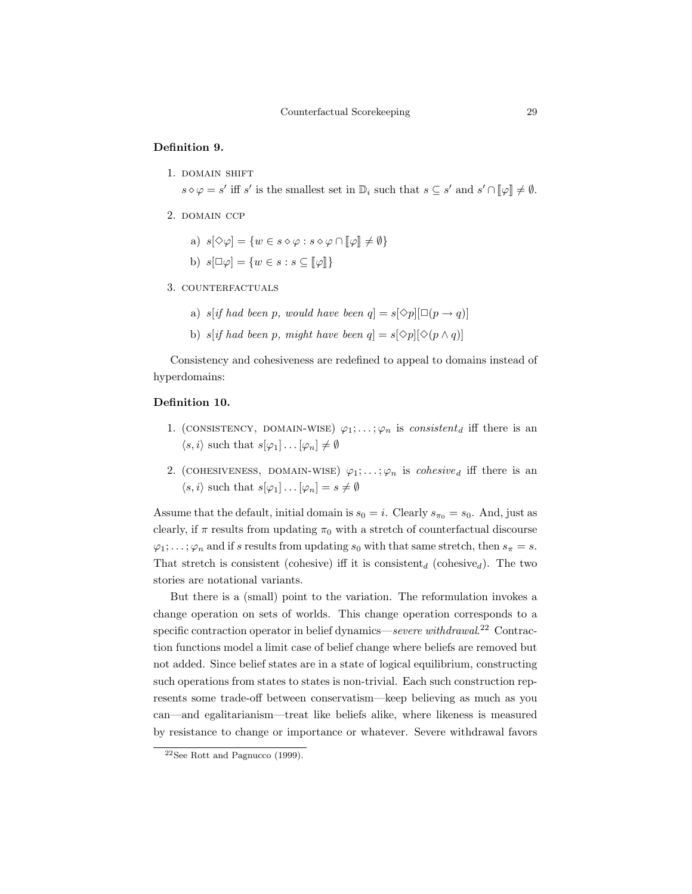### Definition 9.

1. DOMAIN SHIFT

 $s \diamond \varphi = s'$  iff s' is the smallest set in  $\mathbb{D}_i$  such that  $s \subseteq s'$  and  $s' \cap [\![\varphi]\!] \neq \emptyset$ .

- 2. DOMAIN CCP
	- a)  $s[\Diamond \varphi] = \{w \in s \diamond \varphi : s \diamond \varphi \cap [\varphi] \neq \emptyset\}$
	- b)  $s[\Box \varphi] = \{w \in s : s \subseteq [\varphi]\}$
- 3. COUNTERFACTUALS
	- a) s[if had been p, would have been  $q = s[\diamond p][\Box(p \rightarrow q)]$
	- b) s[if had been p, might have been  $q = s[\Diamond p][\Diamond (p \land q)]$

Consistency and cohesiveness are redefined to appeal to domains instead of hyperdomains:

## Definition 10.

- 1. (CONSISTENCY, DOMAIN-WISE)  $\varphi_1; \ldots; \varphi_n$  is consistent<sub>d</sub> iff there is an  $\langle s, i \rangle$  such that  $s[\varphi_1] \dots [\varphi_n] \neq \emptyset$
- 2. (COHESIVENESS, DOMAIN-WISE)  $\varphi_1; \ldots; \varphi_n$  is *cohesive<sub>d</sub>* iff there is an  $\langle s, i \rangle$  such that  $s[\varphi_1] \dots [\varphi_n] = s \neq \emptyset$

Assume that the default, initial domain is  $s_0 = i$ . Clearly  $s_{\pi_0} = s_0$ . And, just as clearly, if  $\pi$  results from updating  $\pi_0$  with a stretch of counterfactual discourse  $\varphi_1; \ldots; \varphi_n$  and if s results from updating  $s_0$  with that same stretch, then  $s_\pi = s$ . That stretch is consistent (cohesive) iff it is consistent<sub>d</sub> (cohesive<sub>d</sub>). The two stories are notational variants.

But there is a (small) point to the variation. The reformulation invokes a change operation on sets of worlds. This change operation corresponds to a specific contraction operator in belief dynamics—severe withdrawal.<sup>22</sup> Contraction functions model a limit case of belief change where beliefs are removed but not added. Since belief states are in a state of logical equilibrium, constructing such operations from states to states is non-trivial. Each such construction represents some trade-off between conservatism—keep believing as much as you can—and egalitarianism—treat like beliefs alike, where likeness is measured by resistance to change or importance or whatever. Severe withdrawal favors

<sup>22</sup>See Rott and Pagnucco (1999).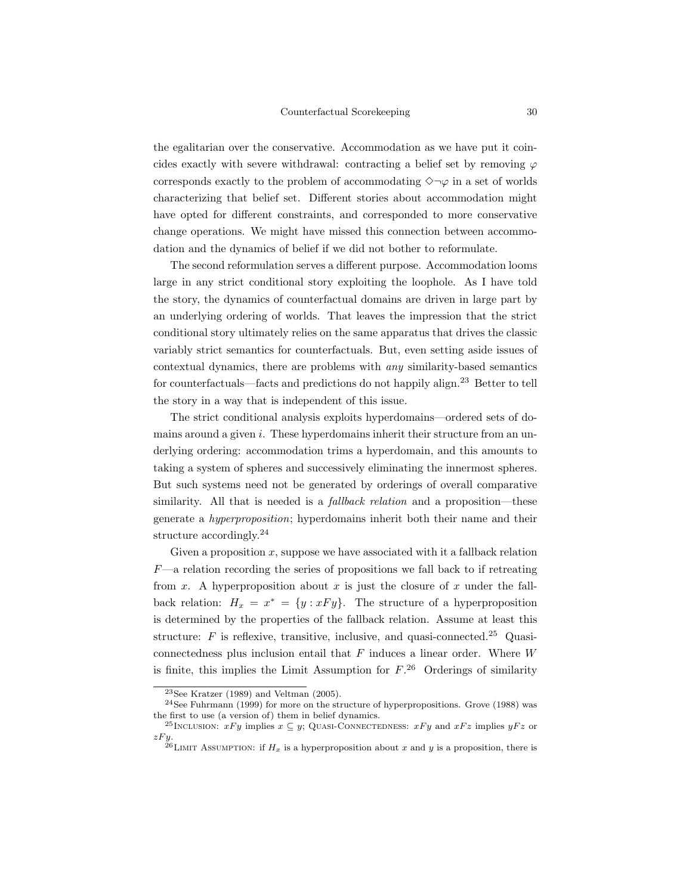the egalitarian over the conservative. Accommodation as we have put it coincides exactly with severe withdrawal: contracting a belief set by removing  $\varphi$ corresponds exactly to the problem of accommodating  $\Diamond \neg \varphi$  in a set of worlds characterizing that belief set. Different stories about accommodation might have opted for different constraints, and corresponded to more conservative change operations. We might have missed this connection between accommodation and the dynamics of belief if we did not bother to reformulate.

The second reformulation serves a different purpose. Accommodation looms large in any strict conditional story exploiting the loophole. As I have told the story, the dynamics of counterfactual domains are driven in large part by an underlying ordering of worlds. That leaves the impression that the strict conditional story ultimately relies on the same apparatus that drives the classic variably strict semantics for counterfactuals. But, even setting aside issues of contextual dynamics, there are problems with any similarity-based semantics for counterfactuals—facts and predictions do not happily align.<sup>23</sup> Better to tell the story in a way that is independent of this issue.

The strict conditional analysis exploits hyperdomains—ordered sets of domains around a given  $i$ . These hyperdomains inherit their structure from an underlying ordering: accommodation trims a hyperdomain, and this amounts to taking a system of spheres and successively eliminating the innermost spheres. But such systems need not be generated by orderings of overall comparative similarity. All that is needed is a *fallback relation* and a proposition—these generate a hyperproposition; hyperdomains inherit both their name and their structure accordingly.<sup>24</sup>

Given a proposition  $x$ , suppose we have associated with it a fallback relation  $F$ —a relation recording the series of propositions we fall back to if retreating from x. A hyperproposition about x is just the closure of x under the fallback relation:  $H_x = x^* = \{y : xFy\}$ . The structure of a hyperproposition is determined by the properties of the fallback relation. Assume at least this structure:  $F$  is reflexive, transitive, inclusive, and quasi-connected.<sup>25</sup> Quasiconnectedness plus inclusion entail that  $F$  induces a linear order. Where  $W$ is finite, this implies the Limit Assumption for  $F^{26}$  Orderings of similarity

<sup>23</sup>See Kratzer (1989) and Veltman (2005).

<sup>24</sup>See Fuhrmann (1999) for more on the structure of hyperpropositions. Grove (1988) was the first to use (a version of) them in belief dynamics.

<sup>&</sup>lt;sup>25</sup>INCLUSION:  $xFy$  implies  $x \subseteq y$ ; QUASI-CONNECTEDNESS:  $xFy$  and  $xFz$  implies  $yFz$  or  $zFy$ .<br><sup>26</sup>LIMIT ASSUMPTION: if  $H_x$  is a hyperproposition about x and y is a proposition, there is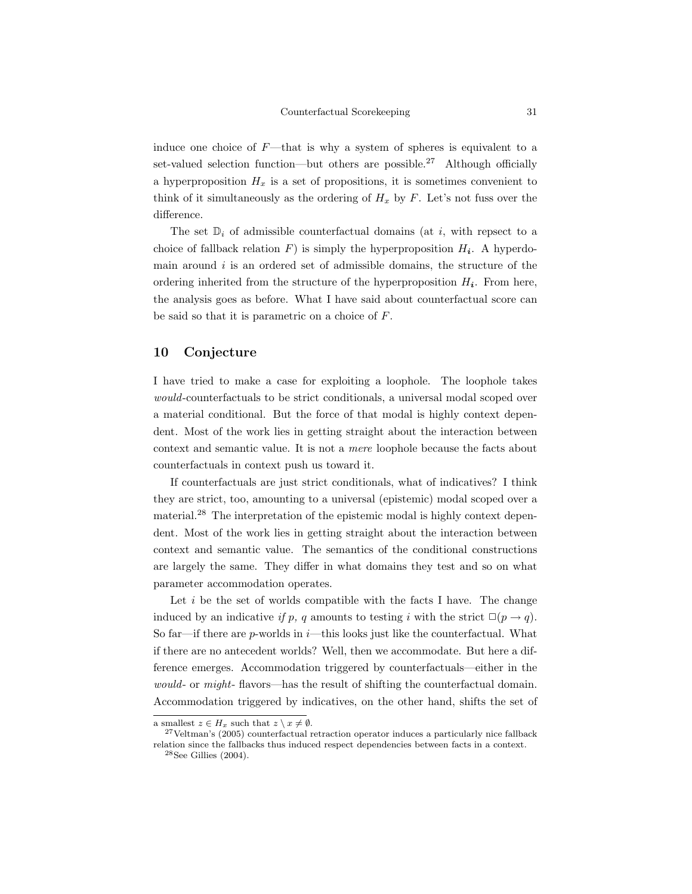induce one choice of  $F$ —that is why a system of spheres is equivalent to a set-valued selection function—but others are possible.<sup>27</sup> Although officially a hyperproposition  $H_x$  is a set of propositions, it is sometimes convenient to think of it simultaneously as the ordering of  $H_x$  by  $F$ . Let's not fuss over the difference.

The set  $\mathbb{D}_i$  of admissible counterfactual domains (at i, with repsect to a choice of fallback relation  $F$ ) is simply the hyperproposition  $H_i$ . A hyperdomain around  $i$  is an ordered set of admissible domains, the structure of the ordering inherited from the structure of the hyperproposition  $H_i$ . From here, the analysis goes as before. What I have said about counterfactual score can be said so that it is parametric on a choice of F.

## 10 Conjecture

I have tried to make a case for exploiting a loophole. The loophole takes would-counterfactuals to be strict conditionals, a universal modal scoped over a material conditional. But the force of that modal is highly context dependent. Most of the work lies in getting straight about the interaction between context and semantic value. It is not a mere loophole because the facts about counterfactuals in context push us toward it.

If counterfactuals are just strict conditionals, what of indicatives? I think they are strict, too, amounting to a universal (epistemic) modal scoped over a material.<sup>28</sup> The interpretation of the epistemic modal is highly context dependent. Most of the work lies in getting straight about the interaction between context and semantic value. The semantics of the conditional constructions are largely the same. They differ in what domains they test and so on what parameter accommodation operates.

Let  $i$  be the set of worlds compatible with the facts I have. The change induced by an indicative if p, q amounts to testing i with the strict  $\square(p \rightarrow q)$ . So far—if there are p-worlds in  $i$ —this looks just like the counterfactual. What if there are no antecedent worlds? Well, then we accommodate. But here a difference emerges. Accommodation triggered by counterfactuals—either in the would- or *might*- flavors—has the result of shifting the counterfactual domain. Accommodation triggered by indicatives, on the other hand, shifts the set of

a smallest  $z \in H_x$  such that  $z \setminus x \neq \emptyset$ .

 $27$ Veltman's (2005) counterfactual retraction operator induces a particularly nice fallback relation since the fallbacks thus induced respect dependencies between facts in a context.

 $^{28}\mathrm{See}$  Gillies (2004).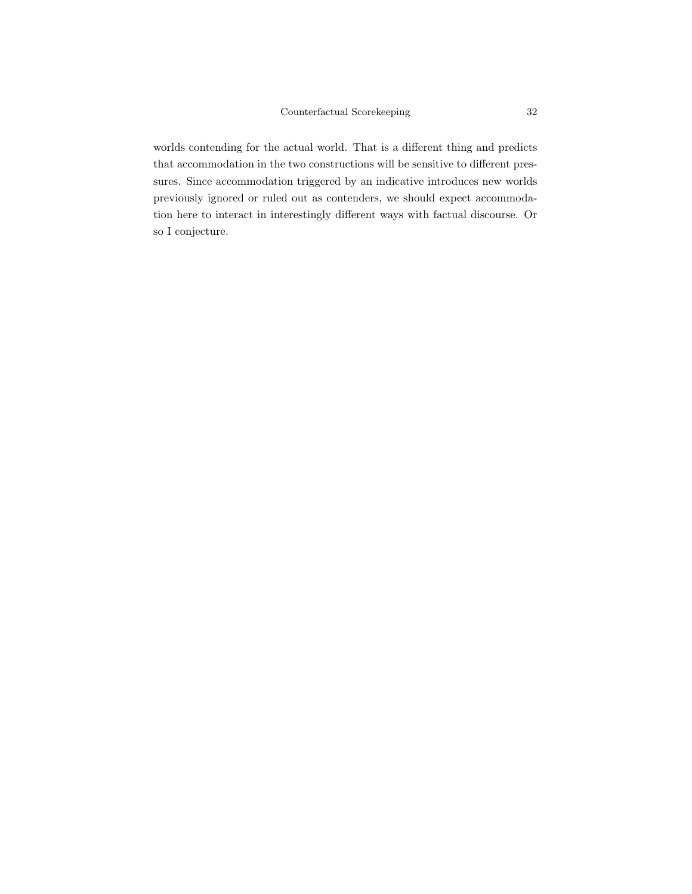worlds contending for the actual world. That is a different thing and predicts that accommodation in the two constructions will be sensitive to different pressures. Since accommodation triggered by an indicative introduces new worlds previously ignored or ruled out as contenders, we should expect accommodation here to interact in interestingly different ways with factual discourse. Or so I conjecture.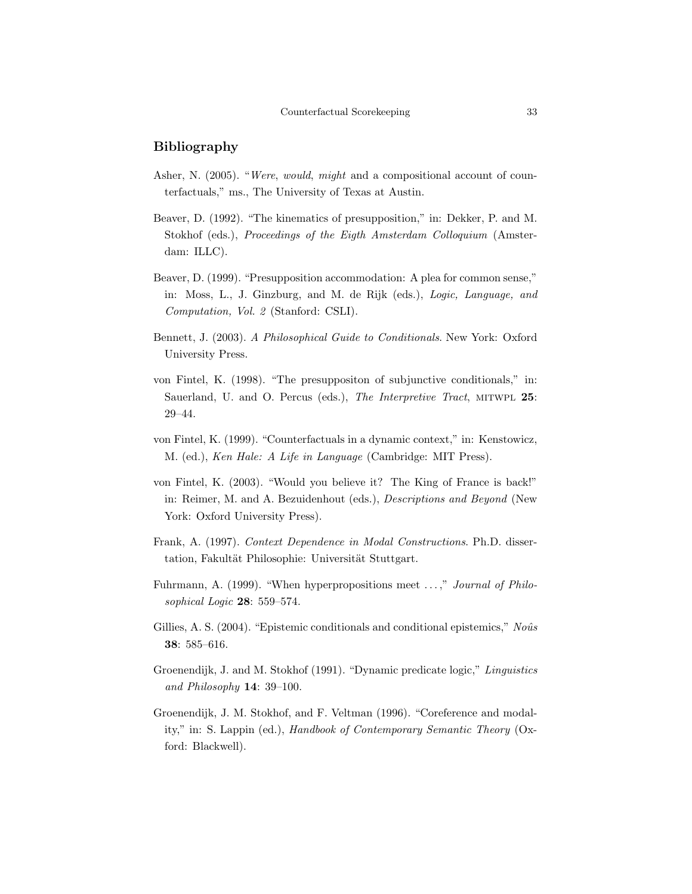## Bibliography

- Asher, N. (2005). "Were, would, might and a compositional account of counterfactuals," ms., The University of Texas at Austin.
- Beaver, D. (1992). "The kinematics of presupposition," in: Dekker, P. and M. Stokhof (eds.), Proceedings of the Eigth Amsterdam Colloquium (Amsterdam: ILLC).
- Beaver, D. (1999). "Presupposition accommodation: A plea for common sense," in: Moss, L., J. Ginzburg, and M. de Rijk (eds.), Logic, Language, and Computation, Vol. 2 (Stanford: CSLI).
- Bennett, J. (2003). A Philosophical Guide to Conditionals. New York: Oxford University Press.
- von Fintel, K. (1998). "The presuppositon of subjunctive conditionals," in: Sauerland, U. and O. Percus (eds.), The Interpretive Tract, MITWPL 25: 29–44.
- von Fintel, K. (1999). "Counterfactuals in a dynamic context," in: Kenstowicz, M. (ed.), Ken Hale: A Life in Language (Cambridge: MIT Press).
- von Fintel, K. (2003). "Would you believe it? The King of France is back!" in: Reimer, M. and A. Bezuidenhout (eds.), Descriptions and Beyond (New York: Oxford University Press).
- Frank, A. (1997). Context Dependence in Modal Constructions. Ph.D. dissertation, Fakultät Philosophie: Universität Stuttgart.
- Fuhrmann, A. (1999). "When hyperpropositions meet ...," Journal of Philosophical Logic 28: 559–574.
- Gillies, A. S. (2004). "Epistemic conditionals and conditional epistemics,"  $No\hat{u}s$ 38: 585–616.
- Groenendijk, J. and M. Stokhof (1991). "Dynamic predicate logic," Linguistics and Philosophy 14: 39–100.
- Groenendijk, J. M. Stokhof, and F. Veltman (1996). "Coreference and modality," in: S. Lappin (ed.), Handbook of Contemporary Semantic Theory (Oxford: Blackwell).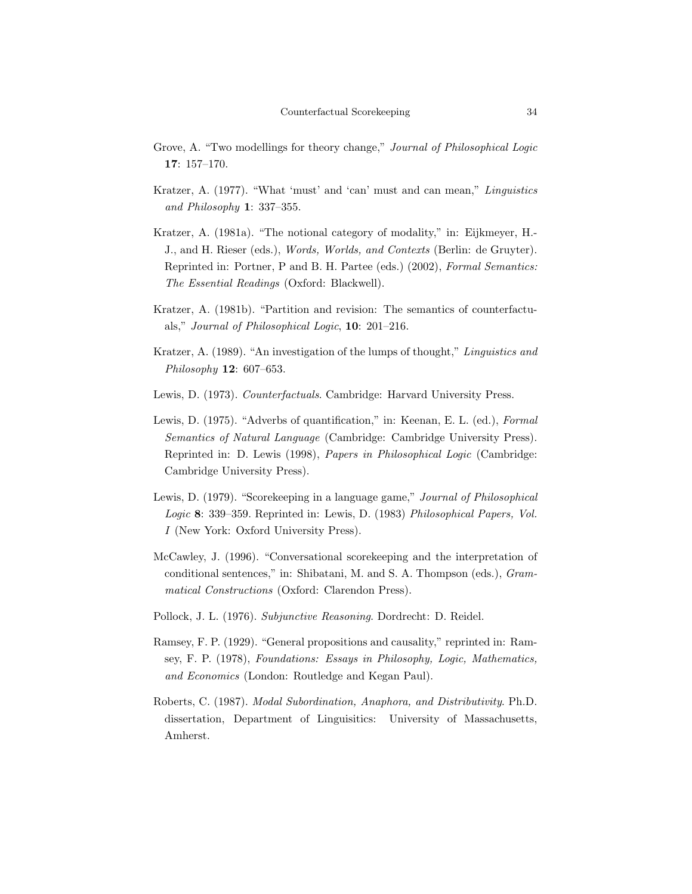- Grove, A. "Two modellings for theory change," Journal of Philosophical Logic 17: 157–170.
- Kratzer, A. (1977). "What 'must' and 'can' must and can mean," Linguistics and Philosophy 1: 337–355.
- Kratzer, A. (1981a). "The notional category of modality," in: Eijkmeyer, H.- J., and H. Rieser (eds.), Words, Worlds, and Contexts (Berlin: de Gruyter). Reprinted in: Portner, P and B. H. Partee (eds.) (2002), Formal Semantics: The Essential Readings (Oxford: Blackwell).
- Kratzer, A. (1981b). "Partition and revision: The semantics of counterfactuals," Journal of Philosophical Logic, 10: 201–216.
- Kratzer, A. (1989). "An investigation of the lumps of thought," Linguistics and Philosophy 12: 607–653.
- Lewis, D. (1973). Counterfactuals. Cambridge: Harvard University Press.
- Lewis, D. (1975). "Adverbs of quantification," in: Keenan, E. L. (ed.), Formal Semantics of Natural Language (Cambridge: Cambridge University Press). Reprinted in: D. Lewis (1998), Papers in Philosophical Logic (Cambridge: Cambridge University Press).
- Lewis, D. (1979). "Scorekeeping in a language game," Journal of Philosophical Logic 8: 339–359. Reprinted in: Lewis, D. (1983) Philosophical Papers, Vol. I (New York: Oxford University Press).
- McCawley, J. (1996). "Conversational scorekeeping and the interpretation of conditional sentences," in: Shibatani, M. and S. A. Thompson (eds.), Grammatical Constructions (Oxford: Clarendon Press).
- Pollock, J. L. (1976). Subjunctive Reasoning. Dordrecht: D. Reidel.
- Ramsey, F. P. (1929). "General propositions and causality," reprinted in: Ramsey, F. P. (1978), Foundations: Essays in Philosophy, Logic, Mathematics, and Economics (London: Routledge and Kegan Paul).
- Roberts, C. (1987). Modal Subordination, Anaphora, and Distributivity. Ph.D. dissertation, Department of Linguisitics: University of Massachusetts, Amherst.